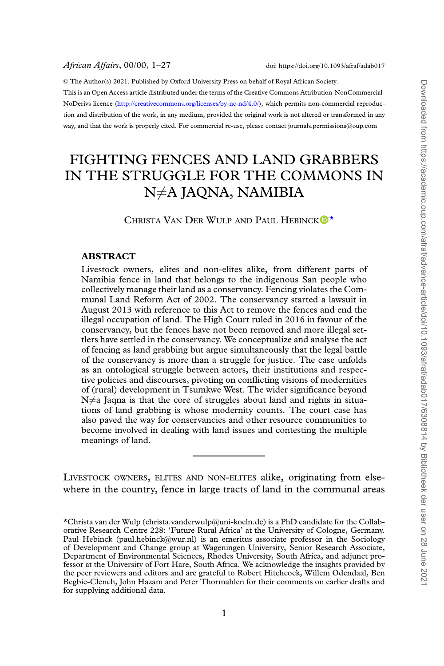© The Author(s) 2021. Published by Oxford University Press on behalf of Royal African Society. This is an Open Access article distributed under the terms of the Creative Commons Attribution-NonCommercial-NoDerivs licence([http://creativecommons.org/licenses/by-nc-nd/4.0/\)](http://creativecommons.org/licenses/by-nc-nd/4.0/), which permits non-commercial reproduction and distribution of the work, in any medium, provided the original work is not altered or transformed in any way, and that the work is properly cited. For commercial re-use, please contact journals.permissions@oup.com

# FIGHTING FENCES AND LAND GRABBERS IN THE STRUGGLE FOR THE COMMONS IN N≠A JAONA, NAMIBIA

CHRISTA VAN DER WULP AND PAUL HEBINCK<sup>D[\\*](#page-0-0)</sup>

### **ABSTRACT**

Livestock owners, elites and non-elites alike, from different parts of Namibia fence in land that belongs to the indigenous San people who collectively manage their land as a conservancy. Fencing violates the Communal Land Reform Act of 2002. The conservancy started a lawsuit in August 2013 with reference to this Act to remove the fences and end the illegal occupation of land. The High Court ruled in 2016 in favour of the conservancy, but the fences have not been removed and more illegal settlers have settled in the conservancy. We conceptualize and analyse the act of fencing as land grabbing but argue simultaneously that the legal battle of the conservancy is more than a struggle for justice. The case unfolds as an ontological struggle between actors, their institutions and respective policies and discourses, pivoting on conflicting visions of modernities of (rural) development in Tsumkwe West. The wider significance beyond  $N \neq a$  Jagna is that the core of struggles about land and rights in situations of land grabbing is whose modernity counts. The court case has also paved the way for conservancies and other resource communities to become involved in dealing with land issues and contesting the multiple meanings of land.

LIVESTOCK OWNERS, ELITES AND NON-ELITES alike, originating from elsewhere in the country, fence in large tracts of land in the communal areas

<span id="page-0-0"></span><sup>\*</sup>Christa van der Wulp (christa.vanderwulp@uni-koeln.de) is a PhD candidate for the Collaborative Research Centre 228: 'Future Rural Africa' at the University of Cologne, Germany. Paul Hebinck (paul.hebinck@wur.nl) is an emeritus associate professor in the Sociology of Development and Change group at Wageningen University, Senior Research Associate, Department of Environmental Sciences, Rhodes University, South Africa, and adjunct professor at the University of Fort Hare, South Africa. We acknowledge the insights provided by the peer reviewers and editors and are grateful to Robert Hitchcock, Willem Odendaal, Ben Begbie-Clench, John Hazam and Peter Thormahlen for their comments on earlier drafts and for supplying additional data.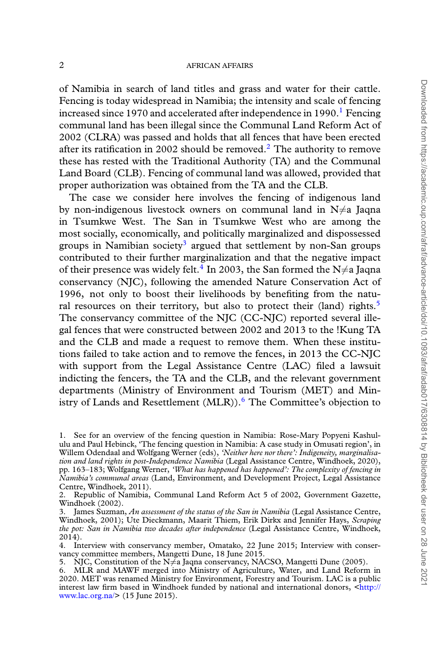of Namibia in search of land titles and grass and water for their cattle. Fencing is today widespread in Namibia; the intensity and scale of fencing increased since [1](#page-1-0)970 and accelerated after independence in 1990.<sup>1</sup> Fencing communal land has been illegal since the Communal Land Reform Act of 2002 (CLRA) was passed and holds that all fences that have been erected after its ratification in [2](#page-1-1)002 should be removed.<sup>2</sup> The authority to remove these has rested with the Traditional Authority (TA) and the Communal Land Board (CLB). Fencing of communal land was allowed, provided that proper authorization was obtained from the TA and the CLB.

The case we consider here involves the fencing of indigenous land by non-indigenous livestock owners on communal land in  $N \neq a$  Jaqna in Tsumkwe West. The San in Tsumkwe West who are among the most socially, economically, and politically marginalized and dispossessed groups in Namibian society<sup>[3](#page-1-2)</sup> argued that settlement by non-San groups contributed to their further marginalization and that the negative impact of their presence was widely felt.<sup>[4](#page-1-3)</sup> In 2003, the San formed the N $\neq$ a Jaqna conservancy (NJC), following the amended Nature Conservation Act of 1996, not only to boost their livelihoods by benefiting from the natu-ral resources on their territory, but also to protect their (land) rights.<sup>[5](#page-1-4)</sup> The conservancy committee of the NJC (CC-NJC) reported several illegal fences that were constructed between 2002 and 2013 to the !Kung TA and the CLB and made a request to remove them. When these institutions failed to take action and to remove the fences, in 2013 the CC-NJC with support from the Legal Assistance Centre (LAC) filed a lawsuit indicting the fencers, the TA and the CLB, and the relevant government departments (Ministry of Environment and Tourism (MET) and Ministry of Lands and Resettlement  $(MLR)$ . <sup>[6](#page-1-5)</sup> The Committee's objection to

<span id="page-1-1"></span>2. Republic of Namibia, Communal Land Reform Act 5 of 2002, Government Gazette, Windhoek (2002).

<span id="page-1-0"></span><sup>1.</sup> See for an overview of the fencing question in Namibia: Rose-Mary Popyeni Kashululu and Paul Hebinck, 'The fencing question in Namibia: A case study in Omusati region', in Willem Odendaal and Wolfgang Werner (eds), *'Neither here nor there': Indigeneity, marginalisation and land rights in post-Independence Namibia* (Legal Assistance Centre, Windhoek, 2020), pp. 163–183; Wolfgang Werner, *'What has happened has happened': The complexity of fencing in Namibia's communal areas* (Land, Environment, and Development Project, Legal Assistance Centre, Windhoek, 2011).

<span id="page-1-2"></span><sup>3.</sup> James Suzman, *An assessment of the status of the San in Namibia* (Legal Assistance Centre, Windhoek, 2001); Ute Dieckmann, Maarit Thiem, Erik Dirkx and Jennifer Hays, *Scraping the pot: San in Namibia two decades after independence* (Legal Assistance Centre, Windhoek, 2014).

<span id="page-1-3"></span><sup>4.</sup> Interview with conservancy member, Omatako, 22 June 2015; Interview with conservancy committee members, Mangetti Dune, 18 June 2015.

<span id="page-1-4"></span><sup>5.</sup> NJC, Constitution of the N≠a Jaqna conservancy, NACSO, Mangetti Dune (2005).<br>6. MLR and MAWF merged into Ministry of Agriculture, Water, and Land Reform

<span id="page-1-5"></span><sup>6.</sup> MLR and MAWF merged into Ministry of Agriculture, Water, and Land Reform in 2020. MET was renamed Ministry for Environment, Forestry and Tourism. LAC is a public interest law firm based in Windhoek funded by national and international donors, [<http://](http://www.lac.org.na/) [www.lac.org.na/](http://www.lac.org.na/)> (15 June 2015).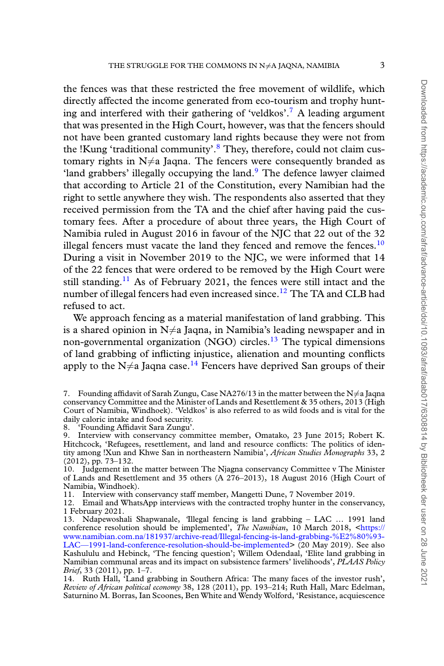the fences was that these restricted the free movement of wildlife, which directly affected the income generated from eco-tourism and trophy hunt-ing and interfered with their gathering of 'veldkos'.<sup>[7](#page-2-0)</sup> A leading argument that was presented in the High Court, however, was that the fencers should not have been granted customary land rights because they were not from the !Kung 'traditional community'.<sup>[8](#page-2-1)</sup> They, therefore, could not claim customary rights in  $N \neq a$  Jaqna. The fencers were consequently branded as 'land grabbers' illegally occupying the land.<sup>[9](#page-2-2)</sup> The defence lawyer claimed that according to Article 21 of the Constitution, every Namibian had the right to settle anywhere they wish. The respondents also asserted that they received permission from the TA and the chief after having paid the customary fees. After a procedure of about three years, the High Court of Namibia ruled in August 2016 in favour of the NJC that 22 out of the 32 illegal fencers must vacate the land they fenced and remove the fences. $10$ During a visit in November 2019 to the NJC, we were informed that 14 of the 22 fences that were ordered to be removed by the High Court were still standing.<sup>[11](#page-2-4)</sup> As of February 2021, the fences were still intact and the number of illegal fencers had even increased since.<sup>[12](#page-2-5)</sup> The TA and CLB had refused to act.

We approach fencing as a material manifestation of land grabbing. This is a shared opinion in  $N \neq a$  Jaqna, in Namibia's leading newspaper and in non-governmental organization (NGO) circles.[13](#page-2-6) The typical dimensions of land grabbing of inflicting injustice, alienation and mounting conflicts apply to the  $N \neq a$  Jaqna case.<sup>[14](#page-2-7)</sup> Fencers have deprived San groups of their

<span id="page-2-1"></span>8. 'Founding Affidavit Sara Zungu'.

<span id="page-2-4"></span>11. Interview with conservancy staff member, Mangetti Dune, 7 November 2019.<br>12. Email and WhatsApp interviews with the contracted trophy hunter in the cons

<span id="page-2-5"></span>Email and WhatsApp interviews with the contracted trophy hunter in the conservancy, 1 February 2021.

<span id="page-2-0"></span><sup>7.</sup> Founding affidavit of Sarah Zungu, Case NA276/13 in the matter between the N*̸*=a Jaqna conservancy Committee and the Minister of Lands and Resettlement & 35 others, 2013 (High Court of Namibia, Windhoek). 'Veldkos' is also referred to as wild foods and is vital for the daily caloric intake and food security.<br>8. Founding Affidavit Sara Zungu'.

<span id="page-2-2"></span>Interview with conservancy committee member, Omatako, 23 June 2015; Robert K. Hitchcock, 'Refugees, resettlement, and land and resource conflicts: The politics of identity among !Xun and Khwe San in northeastern Namibia', *African Studies Monographs* 33, 2 (2012), pp. 73–132.

<span id="page-2-3"></span><sup>10.</sup> Judgement in the matter between The Njagna conservancy Committee v The Minister of Lands and Resettlement and 35 others (A 276–2013), 18 August 2016 (High Court of Namibia, Windhoek).

<span id="page-2-6"></span><sup>13.</sup> Ndapewoshali Shapwanale, *'*Illegal fencing is land grabbing – LAC … 1991 land conference resolution should be implemented', *The Namibian*, 10 March 2018, [<https://](https://www.namibian.com.na/181937/archive-read/Illegal-fencing-is-land-grabbing-%E2%80%93-LAC—1991-land-conference-resolution-should-be-implemented) [www.namibian.com.na/181937/archive-read/Illegal-fencing-is-land-grabbing-%E2%80%93-](https://www.namibian.com.na/181937/archive-read/Illegal-fencing-is-land-grabbing-%E2%80%93-LAC—1991-land-conference-resolution-should-be-implemented) [LAC—1991-land-conference-resolution-should-be-implemented](https://www.namibian.com.na/181937/archive-read/Illegal-fencing-is-land-grabbing-%E2%80%93-LAC—1991-land-conference-resolution-should-be-implemented)> (20 May 2019). See also Kashululu and Hebinck, 'The fencing question'; Willem Odendaal, 'Elite land grabbing in Namibian communal areas and its impact on subsistence farmers' livelihoods', *PLAAS Policy Brief*, 33 (2011), pp. 1–7.

<span id="page-2-7"></span><sup>14.</sup> Ruth Hall, 'Land grabbing in Southern Africa: The many faces of the investor rush', *Review of African political economy* 38, 128 (2011), pp. 193–214; Ruth Hall, Marc Edelman, Saturnino M. Borras, Ian Scoones, Ben White and Wendy Wolford, 'Resistance, acquiescence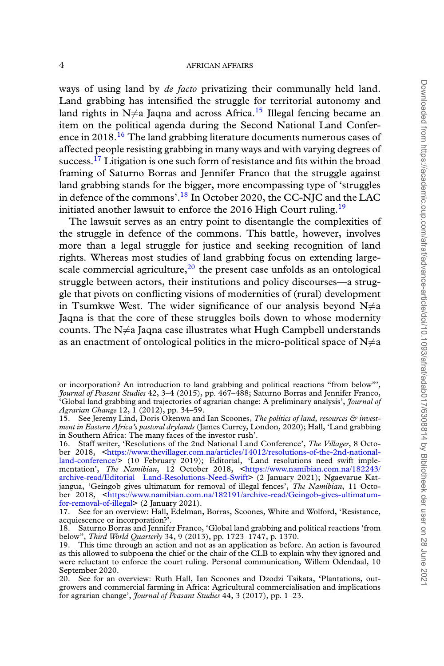ways of using land by *de facto* privatizing their communally held land. Land grabbing has intensified the struggle for territorial autonomy and land rights in  $N \neq a$  Jaqna and across Africa.<sup>[15](#page-3-0)</sup> Illegal fencing became an item on the political agenda during the Second National Land Confer-ence in 2018.<sup>[16](#page-3-1)</sup> The land grabbing literature documents numerous cases of affected people resisting grabbing in many ways and with varying degrees of success.<sup>[17](#page-3-2)</sup> Litigation is one such form of resistance and fits within the broad framing of Saturno Borras and Jennifer Franco that the struggle against land grabbing stands for the bigger, more encompassing type of 'struggles in defence of the commons'.[18](#page-3-3) In October 2020, the CC-NJC and the LAC initiated another lawsuit to enforce the 2016 High Court ruling.<sup>[19](#page-3-4)</sup>

The lawsuit serves as an entry point to disentangle the complexities of the struggle in defence of the commons. This battle, however, involves more than a legal struggle for justice and seeking recognition of land rights. Whereas most studies of land grabbing focus on extending largescale commercial agriculture, $^{20}$  $^{20}$  $^{20}$  the present case unfolds as an ontological struggle between actors, their institutions and policy discourses—a struggle that pivots on conflicting visions of modernities of (rural) development in Tsumkwe West. The wider significance of our analysis beyond N $\neq$ a Jaqna is that the core of these struggles boils down to whose modernity counts. The  $N \neq a$  Jaqna case illustrates what Hugh Campbell understands as an enactment of ontological politics in the micro-political space of  $N\neq a$ 

or incorporation? An introduction to land grabbing and political reactions "from below"', *Journal of Peasant Studies* 42, 3–4 (2015), pp. 467–488; Saturno Borras and Jennifer Franco, 'Global land grabbing and trajectories of agrarian change: A preliminary analysis', *Journal of Agrarian Change* 12, 1 (2012), pp. 34–59.

<span id="page-3-0"></span><sup>15.</sup> See Jeremy Lind, Doris Okenwa and Ian Scoones, *The politics of land, resources & investment in Eastern Africa's pastoral drylands* (James Currey, London, 2020); Hall, 'Land grabbing in Southern Africa: The many faces of the investor rush'.

<span id="page-3-1"></span><sup>16.</sup> Staff writer, 'Resolutions of the 2nd National Land Conference', *The Villager*, 8 October 2018, <[https://www.thevillager.com.na/articles/14012/resolutions-of-the-2nd-national](https://www.thevillager.com.na/articles/14012/resolutions-of-the-2nd-national-land-conference/)[land-conference/>](https://www.thevillager.com.na/articles/14012/resolutions-of-the-2nd-national-land-conference/) (10 February 2019); Editorial, 'Land resolutions need swift implementation', *The Namibian*, 12 October 2018, [<https://www.namibian.com.na/182243/](https://www.namibian.com.na/182243/archive-read/Editorial—Land-Resolutions-Need-Swift) [archive-read/Editorial—Land-Resolutions-Need-Swift>](https://www.namibian.com.na/182243/archive-read/Editorial—Land-Resolutions-Need-Swift) (2 January 2021); Ngaevarue Katjangua, 'Geingob gives ultimatum for removal of illegal fences', *The Namibian*, 11 October 2018, [<https://www.namibian.com.na/182191/archive-read/Geingob-gives-ultimatum](https://www.namibian.com.na/182191/archive-read/Geingob-gives-ultimatum-for-removal-of-illegal)[for-removal-of-illegal](https://www.namibian.com.na/182191/archive-read/Geingob-gives-ultimatum-for-removal-of-illegal)> (2 January 2021).

<span id="page-3-2"></span><sup>17.</sup> See for an overview: Hall, Edelman, Borras, Scoones, White and Wolford, 'Resistance, acquiescence or incorporation?'.

<span id="page-3-3"></span><sup>18.</sup> Saturno Borras and Jennifer Franco, 'Global land grabbing and political reactions 'from below", *Third World Quarterly* 34, 9 (2013), pp. 1723–1747, p. 1370.

<span id="page-3-4"></span><sup>19.</sup> This time through an action and not as an application as before. An action is favoured as this allowed to subpoena the chief or the chair of the CLB to explain why they ignored and were reluctant to enforce the court ruling. Personal communication, Willem Odendaal, 10 September 2020.

<span id="page-3-5"></span><sup>20.</sup> See for an overview: Ruth Hall, Ian Scoones and Dzodzi Tsikata, 'Plantations, outgrowers and commercial farming in Africa: Agricultural commercialisation and implications for agrarian change', *Journal of Peasant Studies* 44, 3 (2017), pp. 1–23.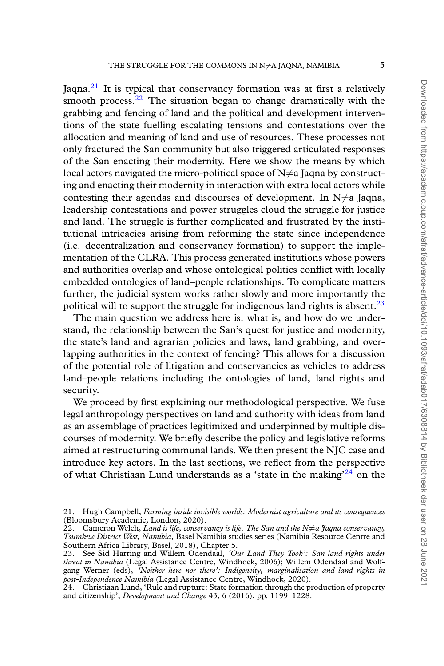Jaqna.<sup>[21](#page-4-0)</sup> It is typical that conservancy formation was at first a relatively smooth process. $22$  The situation began to change dramatically with the grabbing and fencing of land and the political and development interventions of the state fuelling escalating tensions and contestations over the allocation and meaning of land and use of resources. These processes not only fractured the San community but also triggered articulated responses of the San enacting their modernity. Here we show the means by which local actors navigated the micro-political space of  $N\neq a$  Jaqna by constructing and enacting their modernity in interaction with extra local actors while contesting their agendas and discourses of development. In  $N \neq a$  Jaqna, leadership contestations and power struggles cloud the struggle for justice and land. The struggle is further complicated and frustrated by the institutional intricacies arising from reforming the state since independence (i.e. decentralization and conservancy formation) to support the implementation of the CLRA. This process generated institutions whose powers and authorities overlap and whose ontological politics conflict with locally embedded ontologies of land–people relationships. To complicate matters further, the judicial system works rather slowly and more importantly the political will to support the struggle for indigenous land rights is absent.<sup>[23](#page-4-2)</sup>

The main question we address here is: what is, and how do we understand, the relationship between the San's quest for justice and modernity, the state's land and agrarian policies and laws, land grabbing, and overlapping authorities in the context of fencing? This allows for a discussion of the potential role of litigation and conservancies as vehicles to address land–people relations including the ontologies of land, land rights and security.

We proceed by first explaining our methodological perspective. We fuse legal anthropology perspectives on land and authority with ideas from land as an assemblage of practices legitimized and underpinned by multiple discourses of modernity. We briefly describe the policy and legislative reforms aimed at restructuring communal lands. We then present the NJC case and introduce key actors. In the last sections, we reflect from the perspective of what Christiaan Lund understands as a 'state in the making $^{24}$  $^{24}$  $^{24}$  on the

<span id="page-4-0"></span><sup>21.</sup> Hugh Campbell, *Farming inside invisible worlds: Modernist agriculture and its consequences* (Bloomsbury Academic, London, 2020).

<span id="page-4-1"></span><sup>22.</sup> Cameron Welch, *Land is life, conservancy is life. The San and the N* $\neq$ *a Jaqna conservancy, Tsumkwe District West, Namibia*, Basel Namibia studies series (Namibia Resource Centre and Southern Africa Library, Basel, 2018), Chapter 5.

<span id="page-4-2"></span><sup>23.</sup> See Sid Harring and Willem Odendaal, *'Our Land They Took': San land rights under threat in Namibia* (Legal Assistance Centre, Windhoek, 2006); Willem Odendaal and Wolfgang Werner (eds), *'Neither here nor there': Indigeneity, marginalisation and land rights in post-Independence Namibia* (Legal Assistance Centre, Windhoek, 2020).

<span id="page-4-3"></span><sup>24.</sup> Christiaan Lund, 'Rule and rupture: State formation through the production of property and citizenship', *Development and Change* 43, 6 (2016), pp. 1199–1228.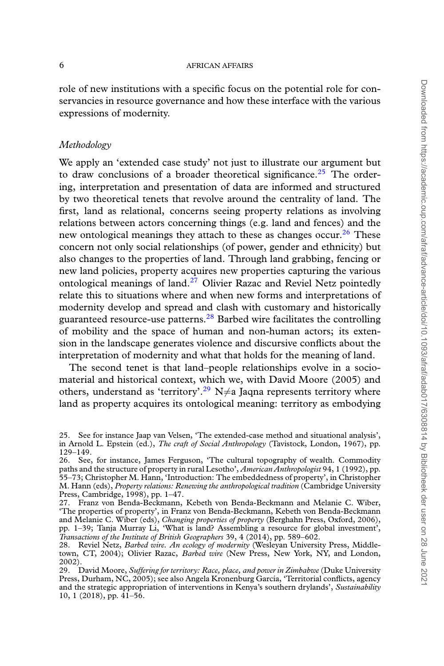role of new institutions with a specific focus on the potential role for conservancies in resource governance and how these interface with the various expressions of modernity.

# *Methodology*

We apply an 'extended case study' not just to illustrate our argument but to draw conclusions of a broader theoretical significance.<sup>[25](#page-5-0)</sup> The ordering, interpretation and presentation of data are informed and structured by two theoretical tenets that revolve around the centrality of land. The first, land as relational, concerns seeing property relations as involving relations between actors concerning things (e.g. land and fences) and the new ontological meanings they attach to these as changes occur.<sup>[26](#page-5-1)</sup> These concern not only social relationships (of power, gender and ethnicity) but also changes to the properties of land. Through land grabbing, fencing or new land policies, property acquires new properties capturing the various ontological meanings of land.<sup>[27](#page-5-2)</sup> Olivier Razac and Reviel Netz pointedly relate this to situations where and when new forms and interpretations of modernity develop and spread and clash with customary and historically guaranteed resource-use patterns.<sup>[28](#page-5-3)</sup> Barbed wire facilitates the controlling of mobility and the space of human and non-human actors; its extension in the landscape generates violence and discursive conflicts about the interpretation of modernity and what that holds for the meaning of land.

The second tenet is that land–people relationships evolve in a sociomaterial and historical context, which we, with David Moore (2005) and others, understand as 'territory'.<sup>[29](#page-5-4)</sup> N $\neq$ a Jaqna represents territory where land as property acquires its ontological meaning: territory as embodying

<span id="page-5-0"></span><sup>25.</sup> See for instance Jaap van Velsen, 'The extended-case method and situational analysis', in Arnold L. Epstein (ed.), *The craft of Social Anthropology* (Tavistock, London, 1967), pp. 129–149.

<span id="page-5-1"></span><sup>26.</sup> See, for instance, James Ferguson, 'The cultural topography of wealth. Commodity paths and the structure of property in rural Lesotho', *American Anthropologist* 94, 1 (1992), pp. 55–73; Christopher M. Hann, 'Introduction: The embeddedness of property', in Christopher M. Hann (eds), *Property relations: Renewing the anthropological tradition* (Cambridge University Press, Cambridge, 1998), pp. 1–47.

<span id="page-5-2"></span><sup>27.</sup> Franz von Benda-Beckmann, Kebeth von Benda-Beckmann and Melanie C. Wiber, 'The properties of property', in Franz von Benda-Beckmann, Kebeth von Benda-Beckmann and Melanie C. Wiber (eds), *Changing properties of property* (Berghahn Press, Oxford, 2006), pp. 1–39; Tanja Murray Li, 'What is land? Assembling a resource for global investment', *Transactions of the Institute of British Geographers* 39, 4 (2014), pp. 589–602.

<span id="page-5-3"></span><sup>28.</sup> Reviel Netz, *Barbed wire. An ecology of modernity* (Wesleyan University Press, Middletown, CT, 2004); Olivier Razac, *Barbed wire* (New Press, New York, NY, and London, 2002).

<span id="page-5-4"></span><sup>29.</sup> David Moore, *Suffering for territory: Race, place, and power in Zimbabwe* (Duke University Press, Durham, NC, 2005); see also Angela Kronenburg García, 'Territorial conflicts, agency and the strategic appropriation of interventions in Kenya's southern drylands', *Sustainability* 10, 1 (2018), pp. 41–56.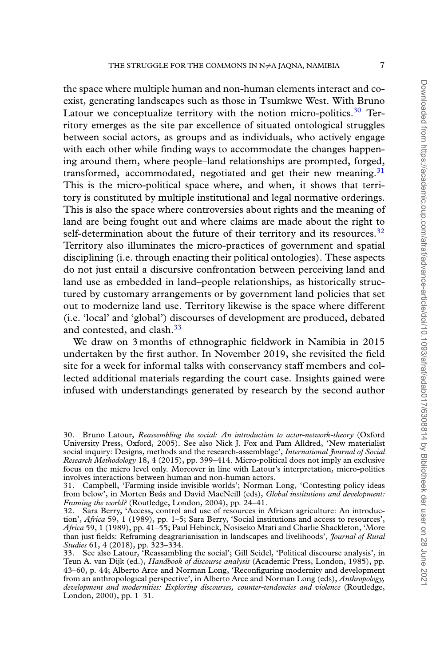the space where multiple human and non-human elements interact and coexist, generating landscapes such as those in Tsumkwe West. With Bruno Latour we conceptualize territory with the notion micro-politics. $30$  Territory emerges as the site par excellence of situated ontological struggles between social actors, as groups and as individuals, who actively engage with each other while finding ways to accommodate the changes happening around them, where people–land relationships are prompted, forged, transformed, accommodated, negotiated and get their new meaning.<sup>[31](#page-6-1)</sup> This is the micro-political space where, and when, it shows that territory is constituted by multiple institutional and legal normative orderings. This is also the space where controversies about rights and the meaning of land are being fought out and where claims are made about the right to self-determination about the future of their territory and its resources.<sup>[32](#page-6-2)</sup> Territory also illuminates the micro-practices of government and spatial disciplining (i.e. through enacting their political ontologies). These aspects do not just entail a discursive confrontation between perceiving land and land use as embedded in land–people relationships, as historically structured by customary arrangements or by government land policies that set out to modernize land use. Territory likewise is the space where different (i.e. 'local' and 'global') discourses of development are produced, debated and contested, and clash.<sup>[33](#page-6-3)</sup>

We draw on 3 months of ethnographic fieldwork in Namibia in 2015 undertaken by the first author. In November 2019, she revisited the field site for a week for informal talks with conservancy staff members and collected additional materials regarding the court case. Insights gained were infused with understandings generated by research by the second author

<span id="page-6-0"></span><sup>30.</sup> Bruno Latour, *Reassembling the social: An introduction to actor-network-theory* (Oxford University Press, Oxford, 2005). See also Nick J. Fox and Pam Alldred, 'New materialist social inquiry: Designs, methods and the research-assemblage', *International Journal of Social Research Methodology* 18, 4 (2015), pp. 399–414. Micro-political does not imply an exclusive focus on the micro level only. Moreover in line with Latour's interpretation, micro-politics involves interactions between human and non-human actors.

<span id="page-6-1"></span><sup>31.</sup> Campbell, 'Farming inside invisible worlds'; Norman Long, 'Contesting policy ideas from below', in Morten Bøås and David MacNeill (eds), *Global institutions and development: Framing the world?* (Routledge, London, 2004), pp. 24–41.

<span id="page-6-2"></span><sup>32.</sup> Sara Berry, 'Access, control and use of resources in African agriculture: An introduction', *Africa* 59, 1 (1989), pp. 1–5; Sara Berry, 'Social institutions and access to resources', *Africa* 59, 1 (1989), pp. 41–55; Paul Hebinck, Nosiseko Mtati and Charlie Shackleton, 'More than just fields: Reframing deagrarianisation in landscapes and livelihoods', *Journal of Rural Studies* 61, 4 (2018), pp. 323–334.

<span id="page-6-3"></span><sup>33.</sup> See also Latour, 'Reassambling the social'; Gill Seidel, 'Political discourse analysis', in Teun A. van Dijk (ed.), *Handbook of discourse analysis* (Academic Press, London, 1985), pp. 43–60, p. 44; Alberto Arce and Norman Long, 'Reconfiguring modernity and development from an anthropological perspective', in Alberto Arce and Norman Long (eds), *Anthropology, development and modernities: Exploring discourses, counter-tendencies and violence* (Routledge, London, 2000), pp. 1–31.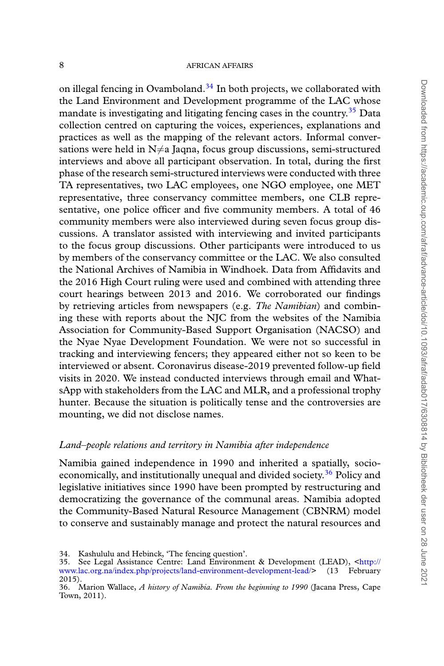on illegal fencing in Ovamboland.<sup>[34](#page-7-0)</sup> In both projects, we collaborated with the Land Environment and Development programme of the LAC whose mandate is investigating and litigating fencing cases in the country.<sup>[35](#page-7-1)</sup> Data collection centred on capturing the voices, experiences, explanations and practices as well as the mapping of the relevant actors. Informal conversations were held in  $N \neq a$  Jaqna, focus group discussions, semi-structured interviews and above all participant observation. In total, during the first phase of the research semi-structured interviews were conducted with three TA representatives, two LAC employees, one NGO employee, one MET representative, three conservancy committee members, one CLB representative, one police officer and five community members. A total of 46 community members were also interviewed during seven focus group discussions. A translator assisted with interviewing and invited participants to the focus group discussions. Other participants were introduced to us by members of the conservancy committee or the LAC. We also consulted the National Archives of Namibia in Windhoek. Data from Affidavits and the 2016 High Court ruling were used and combined with attending three court hearings between 2013 and 2016. We corroborated our findings by retrieving articles from newspapers (e.g. *The Namibian*) and combining these with reports about the NJC from the websites of the Namibia Association for Community-Based Support Organisation (NACSO) and the Nyae Nyae Development Foundation. We were not so successful in tracking and interviewing fencers; they appeared either not so keen to be interviewed or absent. Coronavirus disease-2019 prevented follow-up field visits in 2020. We instead conducted interviews through email and WhatsApp with stakeholders from the LAC and MLR, and a professional trophy hunter. Because the situation is politically tense and the controversies are mounting, we did not disclose names.

### *Land–people relations and territory in Namibia after independence*

Namibia gained independence in 1990 and inherited a spatially, socio-economically, and institutionally unequal and divided society.<sup>[36](#page-7-2)</sup> Policy and legislative initiatives since 1990 have been prompted by restructuring and democratizing the governance of the communal areas. Namibia adopted the Community-Based Natural Resource Management (CBNRM) model to conserve and sustainably manage and protect the natural resources and

<span id="page-7-1"></span><span id="page-7-0"></span><sup>34.</sup> Kashululu and Hebinck, 'The fencing question'.

<sup>35.</sup> See Legal Assistance Centre: Land Environment & Development (LEAD), [<http://](http://www.lac.org.na/index.php/projects/land-environment-development-lead/) [www.lac.org.na/index.php/projects/land-environment-development-lead/>](http://www.lac.org.na/index.php/projects/land-environment-development-lead/) (13 February 2015).

<span id="page-7-2"></span><sup>36.</sup> Marion Wallace, *A history of Namibia. From the beginning to 1990* (Jacana Press, Cape Town, 2011).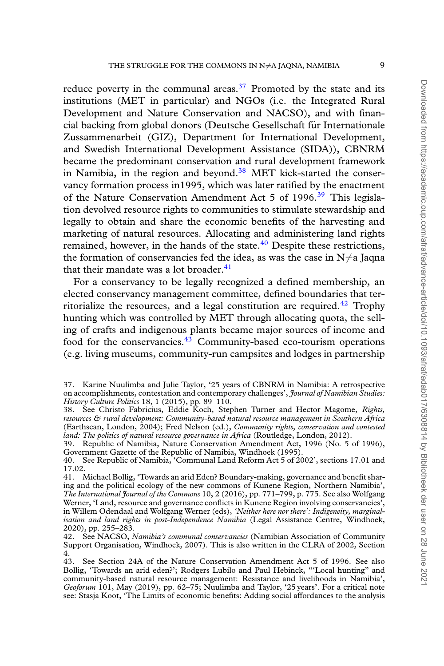reduce poverty in the communal areas.<sup>[37](#page-8-0)</sup> Promoted by the state and its institutions (MET in particular) and NGOs (i.e. the Integrated Rural Development and Nature Conservation and NACSO), and with financial backing from global donors (Deutsche Gesellschaft für Internationale Zussammenarbeit (GIZ), Department for International Development, and Swedish International Development Assistance (SIDA)), CBNRM became the predominant conservation and rural development framework in Namibia, in the region and beyond. $38$  MET kick-started the conservancy formation process in1995, which was later ratified by the enactment of the Nature Conservation Amendment Act 5 of 1996.<sup>[39](#page-8-2)</sup> This legislation devolved resource rights to communities to stimulate stewardship and legally to obtain and share the economic benefits of the harvesting and marketing of natural resources. Allocating and administering land rights remained, however, in the hands of the state. $40$  Despite these restrictions, the formation of conservancies fed the idea, as was the case in  $N \neq a$  Jaqna that their mandate was a lot broader. $41$ 

For a conservancy to be legally recognized a defined membership, an elected conservancy management committee, defined boundaries that ter-ritorialize the resources, and a legal constitution are required.<sup>[42](#page-8-5)</sup> Trophy hunting which was controlled by MET through allocating quota, the selling of crafts and indigenous plants became major sources of income and food for the conservancies.<sup>[43](#page-8-6)</sup> Community-based eco-tourism operations (e.g. living museums, community-run campsites and lodges in partnership

<span id="page-8-0"></span><sup>37.</sup> Karine Nuulimba and Julie Taylor, '25 years of CBNRM in Namibia: A retrospective on accomplishments, contestation and contemporary challenges', *Journal of Namibian Studies: History Culture Politics* 18, 1 (2015), pp. 89–110.

<span id="page-8-1"></span><sup>38.</sup> See Christo Fabricius, Eddie Koch, Stephen Turner and Hector Magome, *Rights, resources & rural development: Community-based natural resource management in Southern Africa* (Earthscan, London, 2004); Fred Nelson (ed.), *Community rights, conservation and contested land: The politics of natural resource governance in Africa* (Routledge, London, 2012).

<span id="page-8-2"></span><sup>39.</sup> Republic of Namibia, Nature Conservation Amendment Act, 1996 (No. 5 of 1996), Government Gazette of the Republic of Namibia, Windhoek (1995).

<span id="page-8-3"></span><sup>40.</sup> See Republic of Namibia, 'Communal Land Reform Act 5 of 2002', sections 17.01 and 17.02.

<span id="page-8-4"></span><sup>41.</sup> Michael Bollig, 'Towards an arid Eden? Boundary-making, governance and benefit sharing and the political ecology of the new commons of Kunene Region, Northern Namibia', *The International Journal of the Commons* 10, 2 (2016), pp. 771–799, p. 775. See also Wolfgang Werner, 'Land, resource and governance conflicts in Kunene Region involving conservancies', in Willem Odendaal and Wolfgang Werner (eds), *'Neither here nor there': Indigeneity, marginalisation and land rights in post-Independence Namibia* (Legal Assistance Centre, Windhoek, 2020), pp. 255–283.

<span id="page-8-5"></span><sup>42.</sup> See NACSO, *Namibia's communal conservancies* (Namibian Association of Community Support Organisation, Windhoek, 2007). This is also written in the CLRA of 2002, Section 4.

<span id="page-8-6"></span><sup>43.</sup> See Section 24A of the Nature Conservation Amendment Act 5 of 1996. See also Bollig, 'Towards an arid eden?'; Rodgers Lubilo and Paul Hebinck, "'Local hunting" and community-based natural resource management: Resistance and livelihoods in Namibia', *Geoforum* 101, May (2019), pp. 62–75; Nuulimba and Taylor, '25 years'. For a critical note see: Stasja Koot, 'The Limits of economic benefits: Adding social affordances to the analysis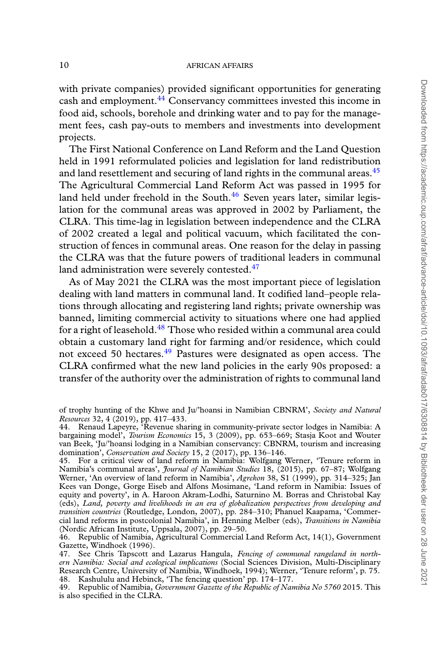with private companies) provided significant opportunities for generating cash and employment.<sup>[44](#page-9-0)</sup> Conservancy committees invested this income in food aid, schools, borehole and drinking water and to pay for the management fees, cash pay-outs to members and investments into development projects.

The First National Conference on Land Reform and the Land Question held in 1991 reformulated policies and legislation for land redistribution and land resettlement and securing of land rights in the communal areas. $45$ The Agricultural Commercial Land Reform Act was passed in 1995 for land held under freehold in the South. $46$  Seven years later, similar legislation for the communal areas was approved in 2002 by Parliament, the CLRA. This time-lag in legislation between independence and the CLRA of 2002 created a legal and political vacuum, which facilitated the construction of fences in communal areas. One reason for the delay in passing the CLRA was that the future powers of traditional leaders in communal land administration were severely contested.<sup>[47](#page-9-3)</sup>

As of May 2021 the CLRA was the most important piece of legislation dealing with land matters in communal land. It codified land–people relations through allocating and registering land rights; private ownership was banned, limiting commercial activity to situations where one had applied for a right of leasehold.<sup>[48](#page-9-4)</sup> Those who resided within a communal area could obtain a customary land right for farming and/or residence, which could not exceed 50 hectares.<sup>[49](#page-9-5)</sup> Pastures were designated as open access. The CLRA confirmed what the new land policies in the early 90s proposed: a transfer of the authority over the administration of rights to communal land

of trophy hunting of the Khwe and Ju/'hoansi in Namibian CBNRM', *Society and Natural Resources* 32, 4 (2019), pp. 417–433.

<span id="page-9-0"></span><sup>44.</sup> Renaud Lapeyre, 'Revenue sharing in community-private sector lodges in Namibia: A bargaining model', *Tourism Economics* 15, 3 (2009), pp. 653–669; Stasja Koot and Wouter van Beek, 'Ju/'hoansi lodging in a Namibian conservancy: CBNRM, tourism and increasing domination', *Conservation and Society* 15, 2 (2017), pp. 136–146.

<span id="page-9-1"></span><sup>45.</sup> For a critical view of land reform in Namibia: Wolfgang Werner, 'Tenure reform in Namibia's communal areas', *Journal of Namibian Studies* 18, (2015), pp. 67–87; Wolfgang Werner, 'An overview of land reform in Namibia', *Agrekon* 38, S1 (1999), pp. 314–325; Jan Kees van Donge, Gorge Eiseb and Alfons Mosimane, 'Land reform in Namibia: Issues of equity and poverty', in A. Haroon Akram-Lodhi, Saturnino M. Borras and Christobal Kay (eds), *Land, poverty and livelihoods in an era of globalization perspectives from developing and transition countries* (Routledge, London, 2007), pp. 284–310; Phanuel Kaapama, 'Commercial land reforms in postcolonial Namibia', in Henning Melber (eds), *Transitions in Namibia* (Nordic African Institute, Uppsala, 2007), pp. 29–50.

<span id="page-9-2"></span><sup>46.</sup> Republic of Namibia, Agricultural Commercial Land Reform Act, 14(1), Government Gazette, Windhoek (1996).

<span id="page-9-3"></span><sup>47.</sup> See Chris Tapscott and Lazarus Hangula, *Fencing of communal rangeland in northern Namibia: Social and ecological implications* (Social Sciences Division, Multi-Disciplinary Research Centre, University of Namibia, Windhoek, 1994); Werner, 'Tenure reform', p. 75. 48. Kashululu and Hebinck, 'The fencing question' pp. 174–177.

<span id="page-9-5"></span><span id="page-9-4"></span><sup>49.</sup> Republic of Namibia, *Government Gazette of the Republic of Namibia No 5760* 2015. This is also specified in the CLRA.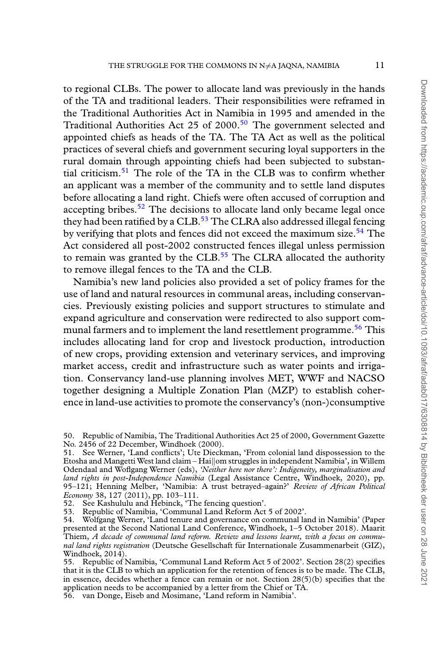to regional CLBs. The power to allocate land was previously in the hands of the TA and traditional leaders. Their responsibilities were reframed in the Traditional Authorities Act in Namibia in 1995 and amended in the Traditional Authorities Act 25 of 2000.<sup>[50](#page-10-0)</sup> The government selected and appointed chiefs as heads of the TA. The TA Act as well as the political practices of several chiefs and government securing loyal supporters in the rural domain through appointing chiefs had been subjected to substantial criticism.[51](#page-10-1) The role of the TA in the CLB was to confirm whether an applicant was a member of the community and to settle land disputes before allocating a land right. Chiefs were often accused of corruption and accepting bribes. $52$  The decisions to allocate land only became legal once they had been ratified by a CLB.<sup>[53](#page-10-3)</sup> The CLRA also addressed illegal fencing by verifying that plots and fences did not exceed the maximum size.<sup>[54](#page-10-4)</sup> The Act considered all post-2002 constructed fences illegal unless permission to remain was granted by the CLB.<sup>[55](#page-10-5)</sup> The CLRA allocated the authority to remove illegal fences to the TA and the CLB.

Namibia's new land policies also provided a set of policy frames for the use of land and natural resources in communal areas, including conservancies. Previously existing policies and support structures to stimulate and expand agriculture and conservation were redirected to also support com-munal farmers and to implement the land resettlement programme.<sup>[56](#page-10-6)</sup> This includes allocating land for crop and livestock production, introduction of new crops, providing extension and veterinary services, and improving market access, credit and infrastructure such as water points and irrigation. Conservancy land-use planning involves MET, WWF and NACSO together designing a Multiple Zonation Plan (MZP) to establish coherence in land-use activities to promote the conservancy's (non-)consumptive

<span id="page-10-0"></span><sup>50.</sup> Republic of Namibia, The Traditional Authorities Act 25 of 2000, Government Gazette No. 2456 of 22 December, Windhoek (2000).

<span id="page-10-1"></span><sup>51.</sup> See Werner, 'Land conflicts'; Ute Dieckman, 'From colonial land dispossession to the Etosha and Mangetti West land claim – Hai*∥*om struggles in independent Namibia', in Willem Odendaal and Woflgang Werner (eds), *'Neither here nor there': Indigeneity, marginalisation and land rights in post-Independence Namibia* (Legal Assistance Centre, Windhoek, 2020), pp. 95–121; Henning Melber, 'Namibia: A trust betrayed–again?' *Review of African Political Economy* 38, 127 (2011), pp. 103–111.

<span id="page-10-2"></span><sup>52.</sup> See Kashululu and Hebinck, 'The fencing question'.

<span id="page-10-3"></span><sup>53.</sup> Republic of Namibia, 'Communal Land Reform Act 5 of 2002'.

<span id="page-10-4"></span><sup>54.</sup> Wolfgang Werner, 'Land tenure and governance on communal land in Namibia' (Paper presented at the Second National Land Conference, Windhoek, 1–5 October 2018). Maarit Thiem, *A decade of communal land reform. Review and lessons learnt, with a focus on communal land rights registration* (Deutsche Gesellschaft fur Internationale Zusammenarbeit (GIZ), ¨ Windhoek, 2014).

<span id="page-10-5"></span><sup>55.</sup> Republic of Namibia, 'Communal Land Reform Act 5 of 2002'. Section 28(2) specifies that it is the CLB to which an application for the retention of fences is to be made. The CLB, in essence, decides whether a fence can remain or not. Section 28(5)(b) specifies that the application needs to be accompanied by a letter from the Chief or TA.

<span id="page-10-6"></span><sup>56.</sup> van Donge, Eiseb and Mosimane, 'Land reform in Namibia'.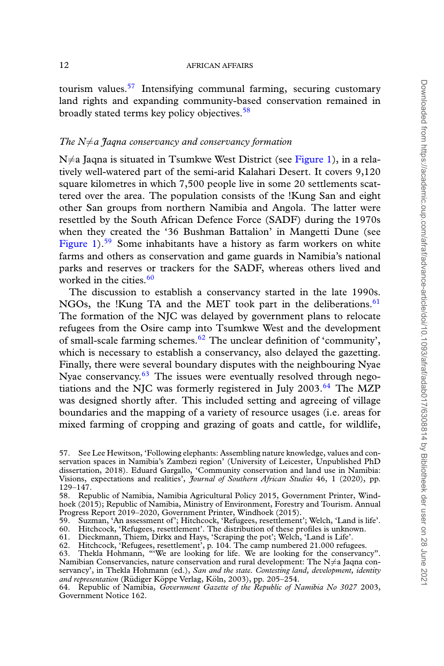tourism values.<sup>[57](#page-11-0)</sup> Intensifying communal farming, securing customary land rights and expanding community-based conservation remained in broadly stated terms key policy objectives.<sup>[58](#page-11-1)</sup>

# *The N̸*=*a Jaqna conservancy and conservancy formation*

N≠a Jaqna is situated in Tsumkwe West District (see [Figure 1\)](#page-12-0), in a relatively well-watered part of the semi-arid Kalahari Desert. It covers 9,120 square kilometres in which 7,500 people live in some 20 settlements scattered over the area. The population consists of the !Kung San and eight other San groups from northern Namibia and Angola. The latter were resettled by the South African Defence Force (SADF) during the 1970s when they created the '36 Bushman Battalion' in Mangetti Dune (see [Figure 1\)](#page-12-0).<sup>[59](#page-11-2)</sup> Some inhabitants have a history as farm workers on white farms and others as conservation and game guards in Namibia's national parks and reserves or trackers for the SADF, whereas others lived and worked in the cities. $60$ 

The discussion to establish a conservancy started in the late 1990s. NGOs, the !Kung TA and the MET took part in the deliberations.<sup>[61](#page-11-4)</sup> The formation of the NJC was delayed by government plans to relocate refugees from the Osire camp into Tsumkwe West and the development of small-scale farming schemes.<sup>[62](#page-11-5)</sup> The unclear definition of 'community', which is necessary to establish a conservancy, also delayed the gazetting. Finally, there were several boundary disputes with the neighbouring Nyae Nyae conservancy.<sup>[63](#page-11-6)</sup> The issues were eventually resolved through negotiations and the NJC was formerly registered in July  $2003<sup>64</sup>$  $2003<sup>64</sup>$  $2003<sup>64</sup>$  The MZP was designed shortly after. This included setting and agreeing of village boundaries and the mapping of a variety of resource usages (i.e. areas for mixed farming of cropping and grazing of goats and cattle, for wildlife,

<span id="page-11-5"></span>62. Hitchcock, 'Refugees, resettlement', p. 104. The camp numbered 21.000 refugees.

<span id="page-11-0"></span><sup>57.</sup> See Lee Hewitson, 'Following elephants: Assembling nature knowledge, values and conservation spaces in Namibia's Zambezi region' (University of Leicester, Unpublished PhD dissertation, 2018). Eduard Gargallo, 'Community conservation and land use in Namibia: Visions, expectations and realities', *Journal of Southern African Studies* 46, 1 (2020), pp. 129–147.

<span id="page-11-1"></span><sup>58.</sup> Republic of Namibia, Namibia Agricultural Policy 2015, Government Printer, Windhoek (2015); Republic of Namibia, Ministry of Environment, Forestry and Tourism. Annual Progress Report 2019–2020, Government Printer, Windhoek (2015).

<span id="page-11-2"></span><sup>59.</sup> Suzman, 'An assessment of'; Hitchcock, 'Refugees, resettlement'; Welch, 'Land is life'.

<span id="page-11-3"></span><sup>60.</sup> Hitchcock, 'Refugees, resettlement'. The distribution of these profiles is unknown.

<span id="page-11-4"></span><sup>61.</sup> Dieckmann, Thiem, Dirkx and Hays, 'Scraping the pot'; Welch, 'Land is Life'.

<span id="page-11-6"></span><sup>63.</sup> Thekla Hohmann, "'We are looking for life. We are looking for the conservancy". Namibian Conservancies, nature conservation and rural development: The N≠a Jaqna conservancy', in Thekla Hohmann (ed.), *San and the state. Contesting land, development, identity* and representation (Rüdiger Köppe Verlag, Köln, 2003), pp. 205-254.

<span id="page-11-7"></span><sup>64.</sup> Republic of Namibia, *Government Gazette of the Republic of Namibia No 3027* 2003, Government Notice 162.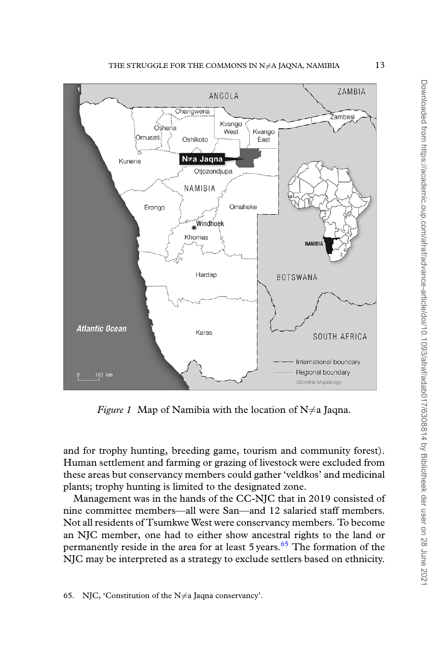<span id="page-12-0"></span>

*Figure 1* Map of Namibia with the location of  $N \neq a$  Jaqna.

and for trophy hunting, breeding game, tourism and community forest). Human settlement and farming or grazing of livestock were excluded from these areas but conservancy members could gather 'veldkos' and medicinal plants; trophy hunting is limited to the designated zone.

<span id="page-12-1"></span>Management was in the hands of the CC-NJC that in 2019 consisted of nine committee members—all were San—and 12 salaried staff members. Not all residents of Tsumkwe West were conservancy members. To become an NJC member, one had to either show ancestral rights to the land or permanently reside in the area for at least  $5$  years.<sup>[65](#page-12-1)</sup> The formation of the NJC may be interpreted as a strategy to exclude settlers based on ethnicity.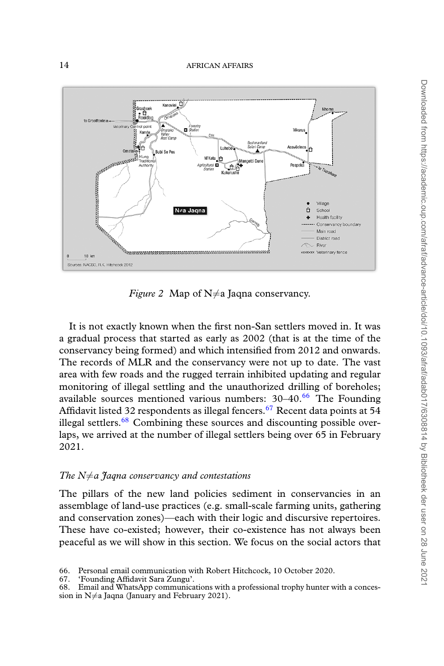<span id="page-13-3"></span>

*Figure 2* Map of  $N \neq a$  Jaqna conservancy.

It is not exactly known when the first non-San settlers moved in. It was a gradual process that started as early as 2002 (that is at the time of the conservancy being formed) and which intensified from 2012 and onwards. The records of MLR and the conservancy were not up to date. The vast area with few roads and the rugged terrain inhibited updating and regular monitoring of illegal settling and the unauthorized drilling of boreholes; available sources mentioned various numbers:  $30-40^{66}$  $30-40^{66}$  $30-40^{66}$  The Founding Affidavit listed 32 respondents as illegal fencers.<sup>[67](#page-13-1)</sup> Recent data points at 54 illegal settlers.<sup>[68](#page-13-2)</sup> Combining these sources and discounting possible overlaps, we arrived at the number of illegal settlers being over 65 in February 2021.

# *The N̸*=*a Jaqna conservancy and contestations*

The pillars of the new land policies sediment in conservancies in an assemblage of land-use practices (e.g. small-scale farming units, gathering and conservation zones)—each with their logic and discursive repertoires. These have co-existed; however, their co-existence has not always been peaceful as we will show in this section. We focus on the social actors that

- <span id="page-13-0"></span>66. Personal email communication with Robert Hitchcock, 10 October 2020.
- <span id="page-13-1"></span>67. 'Founding Affidavit Sara Zungu'.
- <span id="page-13-2"></span>Email and WhatsApp communications with a professional trophy hunter with a concession in N≠a Jaqna (January and February 2021).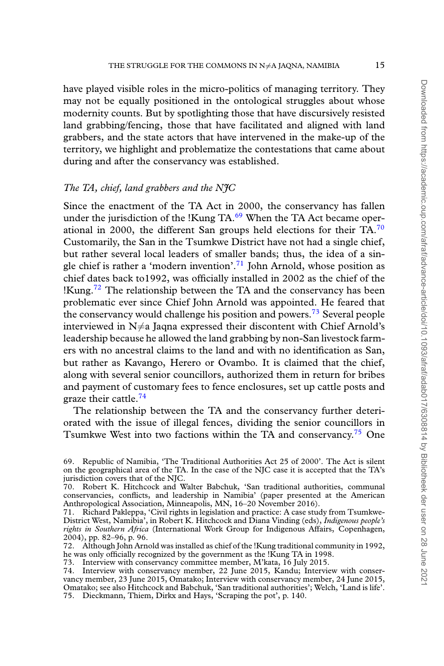have played visible roles in the micro-politics of managing territory. They may not be equally positioned in the ontological struggles about whose modernity counts. But by spotlighting those that have discursively resisted land grabbing/fencing, those that have facilitated and aligned with land grabbers, and the state actors that have intervened in the make-up of the territory, we highlight and problematize the contestations that came about during and after the conservancy was established.

# *The TA, chief, land grabbers and the NJC*

Since the enactment of the TA Act in 2000, the conservancy has fallen under the jurisdiction of the !Kung  $TA<sub>0</sub><sup>69</sup>$  $TA<sub>0</sub><sup>69</sup>$  $TA<sub>0</sub><sup>69</sup>$  When the TA Act became operational in 2000, the different San groups held elections for their  $TA$ .<sup>[70](#page-14-1)</sup> Customarily, the San in the Tsumkwe District have not had a single chief, but rather several local leaders of smaller bands; thus, the idea of a sin-gle chief is rather a 'modern invention'.<sup>[71](#page-14-2)</sup> John Arnold, whose position as chief dates back to1992, was officially installed in 2002 as the chief of the !Kung.<sup>[72](#page-14-3)</sup> The relationship between the TA and the conservancy has been problematic ever since Chief John Arnold was appointed. He feared that the conservancy would challenge his position and powers.<sup>[73](#page-14-4)</sup> Several people interviewed in  $N \neq a$  Jaqna expressed their discontent with Chief Arnold's leadership because he allowed the land grabbing by non-San livestock farmers with no ancestral claims to the land and with no identification as San, but rather as Kavango, Herero or Ovambo. It is claimed that the chief, along with several senior councillors, authorized them in return for bribes and payment of customary fees to fence enclosures, set up cattle posts and graze their cattle.<sup>[74](#page-14-5)</sup>

The relationship between the TA and the conservancy further deteriorated with the issue of illegal fences, dividing the senior councillors in Tsumkwe West into two factions within the TA and conservancy.<sup>[75](#page-14-6)</sup> One

<span id="page-14-0"></span><sup>69.</sup> Republic of Namibia, 'The Traditional Authorities Act 25 of 2000'. The Act is silent on the geographical area of the TA. In the case of the NJC case it is accepted that the TA's jurisdiction covers that of the NJC.

<span id="page-14-1"></span><sup>70.</sup> Robert K. Hitchcock and Walter Babchuk, 'San traditional authorities, communal conservancies, conflicts, and leadership in Namibia' (paper presented at the American Anthropological Association, Minneapolis, MN, 16–20 November 2016).

<span id="page-14-2"></span><sup>71.</sup> Richard Pakleppa, 'Civil rights in legislation and practice: A case study from Tsumkwe-District West, Namibia', in Robert K. Hitchcock and Diana Vinding (eds), *Indigenous people's rights in Southern Africa* (International Work Group for Indigenous Affairs, Copenhagen, 2004), pp. 82–96, p. 96.

<span id="page-14-3"></span><sup>72.</sup> Although John Arnold was installed as chief of the !Kung traditional community in 1992, he was only officially recognized by the government as the !Kung TA in 1998.

<span id="page-14-4"></span><sup>73.</sup> Interview with conservancy committee member, M'kata, 16 July 2015.

<span id="page-14-6"></span><span id="page-14-5"></span><sup>74.</sup> Interview with conservancy member, 22 June 2015, Kandu; Interview with conservancy member, 23 June 2015, Omatako; Interview with conservancy member, 24 June 2015, Omatako; see also Hitchcock and Babchuk, 'San traditional authorities'; Welch, 'Land is life'. 75. Dieckmann, Thiem, Dirkx and Hays, 'Scraping the pot', p. 140.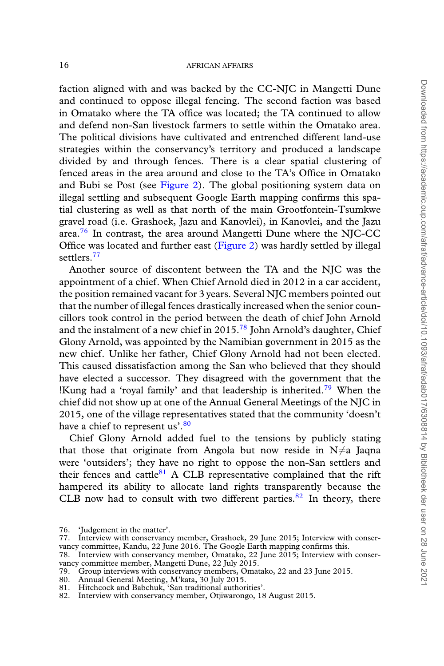faction aligned with and was backed by the CC-NJC in Mangetti Dune and continued to oppose illegal fencing. The second faction was based in Omatako where the TA office was located; the TA continued to allow and defend non-San livestock farmers to settle within the Omatako area. The political divisions have cultivated and entrenched different land-use strategies within the conservancy's territory and produced a landscape divided by and through fences. There is a clear spatial clustering of fenced areas in the area around and close to the TA's Office in Omatako and Bubi se Post (see [Figure 2](#page-13-3)). The global positioning system data on illegal settling and subsequent Google Earth mapping confirms this spatial clustering as well as that north of the main Grootfontein-Tsumkwe gravel road (i.e. Grashoek, Jazu and Kanovlei), in Kanovlei, and the Jazu area.<sup>[76](#page-15-0)</sup> In contrast, the area around Mangetti Dune where the NJC-CC Office was located and further east([Figure 2\)](#page-13-3) was hardly settled by illegal settlers.<sup>[77](#page-15-1)</sup>

Another source of discontent between the TA and the NJC was the appointment of a chief. When Chief Arnold died in 2012 in a car accident, the position remained vacant for 3 years. Several NJC members pointed out that the number of illegal fences drastically increased when the senior councillors took control in the period between the death of chief John Arnold and the instalment of a new chief in 2015.<sup>[78](#page-15-2)</sup> John Arnold's daughter, Chief Glony Arnold, was appointed by the Namibian government in 2015 as the new chief. Unlike her father, Chief Glony Arnold had not been elected. This caused dissatisfaction among the San who believed that they should have elected a successor. They disagreed with the government that the !Kung had a 'royal family' and that leadership is inherited.<sup>[79](#page-15-3)</sup> When the chief did not show up at one of the Annual General Meetings of the NJC in 2015, one of the village representatives stated that the community 'doesn't have a chief to represent us'.<sup>[80](#page-15-4)</sup>

Chief Glony Arnold added fuel to the tensions by publicly stating that those that originate from Angola but now reside in  $N \neq a$  Jaqna were 'outsiders'; they have no right to oppose the non-San settlers and their fences and cattle $81$  A CLB representative complained that the rift hampered its ability to allocate land rights transparently because the CLB now had to consult with two different parties. $82$  In theory, there

- <span id="page-15-2"></span>78. Interview with conservancy member, Omatako, 22 June 2015; Interview with conservancy committee member, Mangetti Dune, 22 July 2015.
- <span id="page-15-3"></span>79. Group interviews with conservancy members, Omatako, 22 and 23 June 2015.
- <span id="page-15-4"></span>80. Annual General Meeting, M'kata, 30 July 2015.
- <span id="page-15-6"></span><span id="page-15-5"></span>81. Hitchcock and Babchuk, 'San traditional authorities'.
- 82. Interview with conservancy member, Otjiwarongo, 18 August 2015.

<span id="page-15-1"></span><span id="page-15-0"></span><sup>76.</sup> 'Judgement in the matter'.

<sup>77.</sup> Interview with conservancy member, Grashoek, 29 June 2015; Interview with conservancy committee, Kandu, 22 June 2016. The Google Earth mapping confirms this.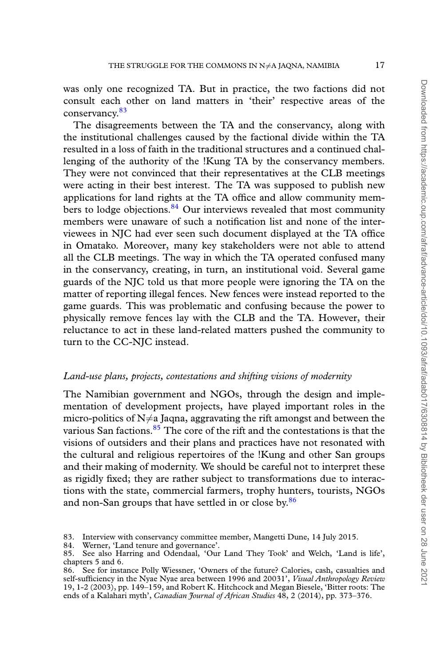was only one recognized TA. But in practice, the two factions did not consult each other on land matters in 'their' respective areas of the conservancy.[83](#page-16-0)

The disagreements between the TA and the conservancy, along with the institutional challenges caused by the factional divide within the TA resulted in a loss of faith in the traditional structures and a continued challenging of the authority of the !Kung TA by the conservancy members. They were not convinced that their representatives at the CLB meetings were acting in their best interest. The TA was supposed to publish new applications for land rights at the TA office and allow community members to lodge objections.  $84$  Our interviews revealed that most community members were unaware of such a notification list and none of the interviewees in NJC had ever seen such document displayed at the TA office in Omatako. Moreover, many key stakeholders were not able to attend all the CLB meetings. The way in which the TA operated confused many in the conservancy, creating, in turn, an institutional void. Several game guards of the NJC told us that more people were ignoring the TA on the matter of reporting illegal fences. New fences were instead reported to the game guards. This was problematic and confusing because the power to physically remove fences lay with the CLB and the TA. However, their reluctance to act in these land-related matters pushed the community to turn to the CC-NJC instead.

# *Land-use plans, projects, contestations and shifting visions of modernity*

The Namibian government and NGOs, through the design and implementation of development projects, have played important roles in the micro-politics of  $N \neq a$  Jagna, aggravating the rift amongst and between the various San factions. $85$  The core of the rift and the contestations is that the visions of outsiders and their plans and practices have not resonated with the cultural and religious repertoires of the !Kung and other San groups and their making of modernity. We should be careful not to interpret these as rigidly fixed; they are rather subject to transformations due to interactions with the state, commercial farmers, trophy hunters, tourists, NGOs and non-San groups that have settled in or close by.<sup>[86](#page-16-3)</sup>

Downloaded from https://academic.oup.com/afraf/advance-article/doi/10.1093/afraf/adab017/6308814 by Bibliotheek der user on 28 June 202 Downloaded from https://academic.oup.com/afraf/advance-article/doi/10.1093/afraf/adab017/6308814 by Bibliotheek der user on 28 June 2021

<span id="page-16-0"></span><sup>83.</sup> Interview with conservancy committee member, Mangetti Dune, 14 July 2015.<br>84. Werner, 'Land tenure and governance'.

<span id="page-16-1"></span>Werner, 'Land tenure and governance'.

<span id="page-16-2"></span><sup>85.</sup> See also Harring and Odendaal, 'Our Land They Took' and Welch, 'Land is life', chapters 5 and 6.

<span id="page-16-3"></span><sup>86.</sup> See for instance Polly Wiessner, 'Owners of the future? Calories, cash, casualties and self-sufficiency in the Nyae Nyae area between 1996 and 20031', *Visual Anthropology Review* 19, 1-2 (2003), pp. 149–159, and Robert K. Hitchcock and Megan Biesele, 'Bitter roots: The ends of a Kalahari myth', *Canadian Journal of African Studies* 48, 2 (2014), pp. 373–376.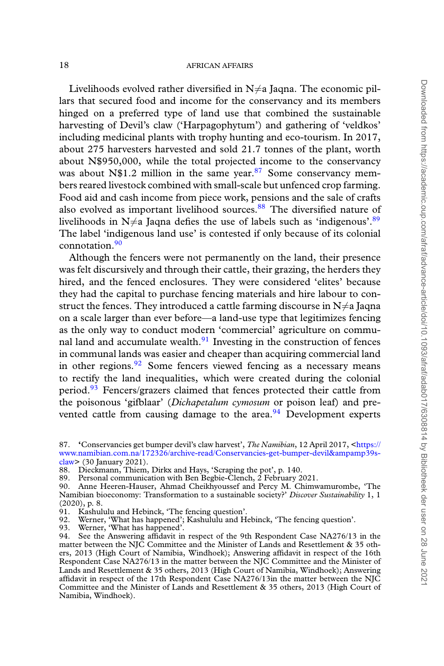Livelihoods evolved rather diversified in  $N \neq a$  Jaqna. The economic pillars that secured food and income for the conservancy and its members hinged on a preferred type of land use that combined the sustainable harvesting of Devil's claw ('Harpagophytum') and gathering of 'veldkos' including medicinal plants with trophy hunting and eco-tourism. In 2017, about 275 harvesters harvested and sold 21.7 tonnes of the plant, worth about N\$950,000, while the total projected income to the conservancy was about N\$1.2 million in the same year. $87$  Some conservancy members reared livestock combined with small-scale but unfenced crop farming. Food aid and cash income from piece work, pensions and the sale of crafts also evolved as important livelihood sources.<sup>[88](#page-17-1)</sup> The diversified nature of livelihoods in  $N \neq a$  Jaqna defies the use of labels such as 'indigenous'.<sup>[89](#page-17-2)</sup> The label 'indigenous land use' is contested if only because of its colonial connotation.<sup>[90](#page-17-3)</sup>

Although the fencers were not permanently on the land, their presence was felt discursively and through their cattle, their grazing, the herders they hired, and the fenced enclosures. They were considered 'elites' because they had the capital to purchase fencing materials and hire labour to construct the fences. They introduced a cattle farming discourse in  $N\neq a$  Jaqna on a scale larger than ever before—a land-use type that legitimizes fencing as the only way to conduct modern 'commercial' agriculture on communal land and accumulate wealth. $91$  Investing in the construction of fences in communal lands was easier and cheaper than acquiring commercial land in other regions. $92$  Some fencers viewed fencing as a necessary means to rectify the land inequalities, which were created during the colonial period.<sup>[93](#page-17-6)</sup> Fencers/grazers claimed that fences protected their cattle from the poisonous 'gifblaar' (*Dichapetalum cymosum* or poison leaf) and prevented cattle from causing damage to the area. $94$  Development experts

<span id="page-17-0"></span><sup>87. &#</sup>x27;Conservancies get bumper devil's claw harvest', *The Namibian*, 12 April 2017, <[https://](https://www.namibian.com.na/172326/archive-read/Conservancies-get-bumper-devil&amp39s-claw) [www.namibian.com.na/172326/archive-read/Conservancies-get-bumper-devil&ampamp39s](https://www.namibian.com.na/172326/archive-read/Conservancies-get-bumper-devil&amp39s-claw)[claw](https://www.namibian.com.na/172326/archive-read/Conservancies-get-bumper-devil&amp39s-claw)> (30 January 2021).

<span id="page-17-1"></span><sup>88.</sup> Dieckmann, Thiem, Dirkx and Hays, 'Scraping the pot', p. 140.

<span id="page-17-2"></span><sup>89.</sup> Personal communication with Ben Begbie-Clench, 2 February 2021.

<span id="page-17-3"></span><sup>90.</sup> Anne Heeren-Hauser, Ahmad Cheikhyoussef and Percy M. Chimwamurombe, 'The Namibian bioeconomy: Transformation to a sustainable society?' *Discover Sustainability* 1, 1 (2020), p. 8.

<span id="page-17-4"></span><sup>91.</sup> Kashululu and Hebinck, 'The fencing question'.

<span id="page-17-5"></span><sup>92.</sup> Werner, 'What has happened'; Kashululu and Hebinck, 'The fencing question'.

<span id="page-17-7"></span><span id="page-17-6"></span><sup>93.</sup> Werner, 'What has happened'.

<sup>94.</sup> See the Answering affidavit in respect of the 9th Respondent Case NA276/13 in the matter between the NJC Committee and the Minister of Lands and Resettlement & 35 others, 2013 (High Court of Namibia, Windhoek); Answering affidavit in respect of the 16th Respondent Case NA276/13 in the matter between the NJC Committee and the Minister of Lands and Resettlement & 35 others, 2013 (High Court of Namibia, Windhoek); Answering affidavit in respect of the 17th Respondent Case NA276/13in the matter between the NJC Committee and the Minister of Lands and Resettlement & 35 others, 2013 (High Court of Namibia, Windhoek).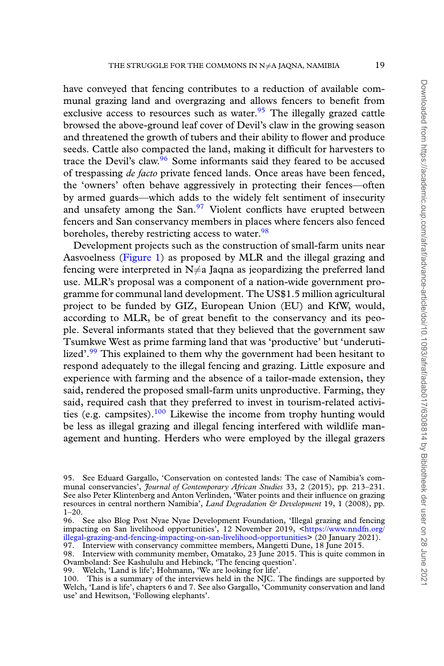have conveyed that fencing contributes to a reduction of available communal grazing land and overgrazing and allows fencers to benefit from exclusive access to resources such as water.<sup>[95](#page-18-0)</sup> The illegally grazed cattle browsed the above-ground leaf cover of Devil's claw in the growing season and threatened the growth of tubers and their ability to flower and produce seeds. Cattle also compacted the land, making it difficult for harvesters to trace the Devil's claw.<sup>[96](#page-18-1)</sup> Some informants said they feared to be accused of trespassing *de facto* private fenced lands. Once areas have been fenced, the 'owners' often behave aggressively in protecting their fences—often by armed guards—which adds to the widely felt sentiment of insecurity and unsafety among the San.<sup>[97](#page-18-2)</sup> Violent conflicts have erupted between fencers and San conservancy members in places where fencers also fenced boreholes, thereby restricting access to water.<sup>[98](#page-18-3)</sup>

Development projects such as the construction of small-farm units near Aasvoelness [\(Figure 1\)](#page-12-0) as proposed by MLR and the illegal grazing and fencing were interpreted in  $N \neq a$  Jaqna as jeopardizing the preferred land use. MLR's proposal was a component of a nation-wide government programme for communal land development. The US\$1.5 million agricultural project to be funded by GIZ, European Union (EU) and KfW, would, according to MLR, be of great benefit to the conservancy and its people. Several informants stated that they believed that the government saw Tsumkwe West as prime farming land that was 'productive' but 'underuti-lized'.<sup>[99](#page-18-4)</sup> This explained to them why the government had been hesitant to respond adequately to the illegal fencing and grazing. Little exposure and experience with farming and the absence of a tailor-made extension, they said, rendered the proposed small-farm units unproductive. Farming, they said, required cash that they preferred to invest in tourism-related activi-ties (e.g. campsites).<sup>[100](#page-18-5)</sup> Likewise the income from trophy hunting would be less as illegal grazing and illegal fencing interfered with wildlife management and hunting. Herders who were employed by the illegal grazers

<span id="page-18-0"></span><sup>95.</sup> See Eduard Gargallo, 'Conservation on contested lands: The case of Namibia's communal conservancies', *Journal of Contemporary African Studies* 33, 2 (2015), pp. 213–231. See also Peter Klintenberg and Anton Verlinden, 'Water points and their influence on grazing resources in central northern Namibia', *Land Degradation & Development* 19, 1 (2008), pp. 1–20.

<span id="page-18-1"></span><sup>96.</sup> See also Blog Post Nyae Nyae Development Foundation, 'Illegal grazing and fencing impacting on San livelihood opportunities', 12 November 2019, [<https://www.nndfn.org/](https://www.nndfn.org/illegal-grazing-and-fencing-impacting-on-san-livelihood-opportunities) [illegal-grazing-and-fencing-impacting-on-san-livelihood-opportunities>](https://www.nndfn.org/illegal-grazing-and-fencing-impacting-on-san-livelihood-opportunities) (20 January 2021).

<span id="page-18-3"></span><span id="page-18-2"></span><sup>97.</sup> Interview with conservancy committee members, Mangetti Dune, 18 June 2015.

<sup>98.</sup> Interview with community member, Omatako, 23 June 2015. This is quite common in Ovamboland: See Kashululu and Hebinck, 'The fencing question'.

<span id="page-18-4"></span><sup>99.</sup> Welch, 'Land is life'; Hohmann, 'We are looking for life'.

<span id="page-18-5"></span><sup>100.</sup> This is a summary of the interviews held in the NJC. The findings are supported by Welch, 'Land is life', chapters 6 and 7. See also Gargallo, 'Community conservation and land use' and Hewitson, 'Following elephants'.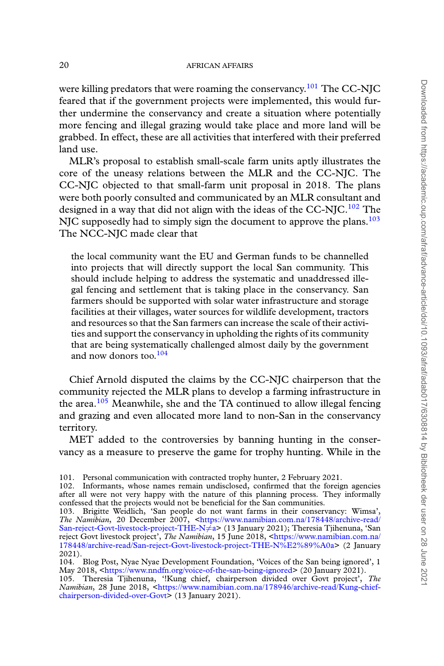were killing predators that were roaming the conservancy.<sup>[101](#page-19-0)</sup> The CC-NJC feared that if the government projects were implemented, this would further undermine the conservancy and create a situation where potentially more fencing and illegal grazing would take place and more land will be grabbed. In effect, these are all activities that interfered with their preferred land use.

MLR's proposal to establish small-scale farm units aptly illustrates the core of the uneasy relations between the MLR and the CC-NJC. The CC-NJC objected to that small-farm unit proposal in 2018. The plans were both poorly consulted and communicated by an MLR consultant and designed in a way that did not align with the ideas of the CC-NJC.<sup>[102](#page-19-1)</sup> The NJC supposedly had to simply sign the document to approve the plans. $103$ The NCC-NJC made clear that

the local community want the EU and German funds to be channelled into projects that will directly support the local San community. This should include helping to address the systematic and unaddressed illegal fencing and settlement that is taking place in the conservancy. San farmers should be supported with solar water infrastructure and storage facilities at their villages, water sources for wildlife development, tractors and resources so that the San farmers can increase the scale of their activities and support the conservancy in upholding the rights of its community that are being systematically challenged almost daily by the government and now donors too.<sup>[104](#page-19-3)</sup>

Chief Arnold disputed the claims by the CC-NJC chairperson that the community rejected the MLR plans to develop a farming infrastructure in the area.<sup>[105](#page-19-4)</sup> Meanwhile, she and the TA continued to allow illegal fencing and grazing and even allocated more land to non-San in the conservancy territory.

MET added to the controversies by banning hunting in the conservancy as a measure to preserve the game for trophy hunting. While in the

<span id="page-19-0"></span>101. Personal communication with contracted trophy hunter, 2 February 2021.

<span id="page-19-1"></span><sup>102.</sup> Informants, whose names remain undisclosed, confirmed that the foreign agencies after all were not very happy with the nature of this planning process. They informally confessed that the projects would not be beneficial for the San communities.

<span id="page-19-2"></span><sup>103.</sup> Brigitte Weidlich, 'San people do not want farms in their conservancy: Wimsa', *The Namibian*, 20 December 2007, [<https://www.namibian.com.na/178448/archive-read/](https://www.namibian.com.na/178448/archive-read/San-reject-Govt-livestock-project-THE-N≠a)<br>[San-reject-Govt-livestock-project-THE-N](https://www.namibian.com.na/178448/archive-read/San-reject-Govt-livestock-project-THE-N≠a)≠a> (13 January 2021); Theresia Tjihenuna, 'San reject Govt livestock project', *The Namibian*, 15 June 2018, <[https://www.namibian.com.na/](https://www.namibian.com.na/178448/archive-read/San-reject-Govt-livestock-project-THE-N%E2%89%A0a) [178448/archive-read/San-reject-Govt-livestock-project-THE-N%E2%89%A0a>](https://www.namibian.com.na/178448/archive-read/San-reject-Govt-livestock-project-THE-N%E2%89%A0a) (2 January 2021).

<span id="page-19-3"></span><sup>104.</sup> Blog Post, Nyae Nyae Development Foundation, 'Voices of the San being ignored', 1 May 2018, [<https://www.nndfn.org/voice-of-the-san-being-ignored](https://www.nndfn.org/voice-of-the-san-being-ignored)> (20 January 2021).

<span id="page-19-4"></span><sup>105.</sup> Theresia Tjihenuna, '!Kung chief, chairperson divided over Govt project', *The Namibian*, 28 June 2018, [<https://www.namibian.com.na/178946/archive-read/Kung-chief](https://www.namibian.com.na/178946/archive-read/Kung-chief-chairperson-divided-over-Govt)[chairperson-divided-over-Govt](https://www.namibian.com.na/178946/archive-read/Kung-chief-chairperson-divided-over-Govt)> (13 January 2021).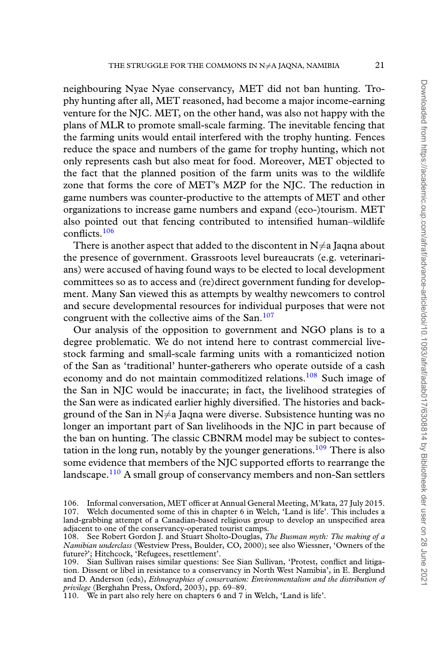neighbouring Nyae Nyae conservancy, MET did not ban hunting. Trophy hunting after all, MET reasoned, had become a major income-earning venture for the NJC. MET, on the other hand, was also not happy with the plans of MLR to promote small-scale farming. The inevitable fencing that the farming units would entail interfered with the trophy hunting. Fences reduce the space and numbers of the game for trophy hunting, which not only represents cash but also meat for food. Moreover, MET objected to the fact that the planned position of the farm units was to the wildlife zone that forms the core of MET's MZP for the NJC. The reduction in game numbers was counter-productive to the attempts of MET and other organizations to increase game numbers and expand (eco-)tourism. MET also pointed out that fencing contributed to intensified human–wildlife conflicts.[106](#page-20-0)

There is another aspect that added to the discontent in  $N \neq a$  Jaqna about the presence of government. Grassroots level bureaucrats (e.g. veterinarians) were accused of having found ways to be elected to local development committees so as to access and (re)direct government funding for development. Many San viewed this as attempts by wealthy newcomers to control and secure developmental resources for individual purposes that were not congruent with the collective aims of the San.<sup>[107](#page-20-1)</sup>

Our analysis of the opposition to government and NGO plans is to a degree problematic. We do not intend here to contrast commercial livestock farming and small-scale farming units with a romanticized notion of the San as 'traditional' hunter-gatherers who operate outside of a cash economy and do not maintain commoditized relations.<sup>[108](#page-20-2)</sup> Such image of the San in NJC would be inaccurate; in fact, the livelihood strategies of the San were as indicated earlier highly diversified. The histories and background of the San in  $N \neq a$  Jaqna were diverse. Subsistence hunting was no longer an important part of San livelihoods in the NJC in part because of the ban on hunting. The classic CBNRM model may be subject to contes-tation in the long run, notably by the younger generations.<sup>[109](#page-20-3)</sup> There is also some evidence that members of the NJC supported efforts to rearrange the landscape.<sup>[110](#page-20-4)</sup> A small group of conservancy members and non-San settlers

<span id="page-20-1"></span><span id="page-20-0"></span><sup>106.</sup> Informal conversation, MET officer at Annual General Meeting, M'kata, 27 July 2015. 107. Welch documented some of this in chapter 6 in Welch, 'Land is life'. This includes a land-grabbing attempt of a Canadian-based religious group to develop an unspecified area adjacent to one of the conservancy-operated tourist camps.

<span id="page-20-2"></span><sup>108.</sup> See Robert Gordon J. and Stuart Sholto-Douglas, *The Busman myth: The making of a Namibian underclass* (Westview Press, Boulder, CO, 2000); see also Wiessner, 'Owners of the future?'; Hitchcock, 'Refugees, resettlement'.

<span id="page-20-3"></span><sup>109.</sup> Sian Sullivan raises similar questions: See Sian Sullivan, 'Protest, conflict and litigation. Dissent or libel in resistance to a conservancy in North West Namibia', in E. Berglund and D. Anderson (eds), *Ethnographies of conservation: Environmentalism and the distribution of privilege* (Berghahn Press, Oxford, 2003), pp. 69–89.

<span id="page-20-4"></span><sup>110.</sup> We in part also rely here on chapters 6 and 7 in Welch, 'Land is life'.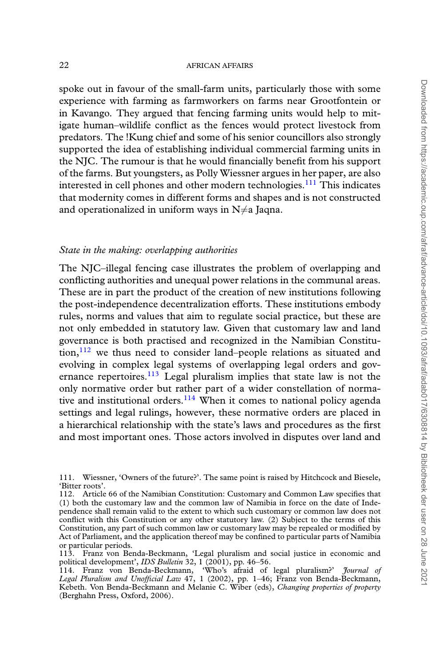spoke out in favour of the small-farm units, particularly those with some experience with farming as farmworkers on farms near Grootfontein or in Kavango. They argued that fencing farming units would help to mitigate human–wildlife conflict as the fences would protect livestock from predators. The !Kung chief and some of his senior councillors also strongly supported the idea of establishing individual commercial farming units in the NJC. The rumour is that he would financially benefit from his support of the farms. But youngsters, as Polly Wiessner argues in her paper, are also interested in cell phones and other modern technologies.<sup>[111](#page-21-0)</sup> This indicates that modernity comes in different forms and shapes and is not constructed and operationalized in uniform ways in  $N \neq a$  Jaqna.

# *State in the making: overlapping authorities*

The NJC–illegal fencing case illustrates the problem of overlapping and conflicting authorities and unequal power relations in the communal areas. These are in part the product of the creation of new institutions following the post-independence decentralization efforts. These institutions embody rules, norms and values that aim to regulate social practice, but these are not only embedded in statutory law. Given that customary law and land governance is both practised and recognized in the Namibian Constitu- $\min$ ,  $^{112}$  $^{112}$  $^{112}$  we thus need to consider land–people relations as situated and evolving in complex legal systems of overlapping legal orders and gov-ernance repertoires.<sup>[113](#page-21-2)</sup> Legal pluralism implies that state law is not the only normative order but rather part of a wider constellation of normative and institutional orders. $114$  When it comes to national policy agenda settings and legal rulings, however, these normative orders are placed in a hierarchical relationship with the state's laws and procedures as the first and most important ones. Those actors involved in disputes over land and

<span id="page-21-0"></span><sup>111.</sup> Wiessner, 'Owners of the future?'. The same point is raised by Hitchcock and Biesele, 'Bitter roots'.

<span id="page-21-1"></span><sup>112.</sup> Article 66 of the Namibian Constitution: Customary and Common Law specifies that (1) both the customary law and the common law of Namibia in force on the date of Independence shall remain valid to the extent to which such customary or common law does not conflict with this Constitution or any other statutory law. (2) Subject to the terms of this Constitution, any part of such common law or customary law may be repealed or modified by Act of Parliament, and the application thereof may be confined to particular parts of Namibia or particular periods.

<span id="page-21-2"></span><sup>113.</sup> Franz von Benda-Beckmann, 'Legal pluralism and social justice in economic and political development', *IDS Bulletin* 32, 1 (2001), pp. 46–56.

<span id="page-21-3"></span><sup>114.</sup> Franz von Benda-Beckmann, 'Who's afraid of legal pluralism?' *Journal of Legal Pluralism and Unofficial Law* 47, 1 (2002), pp. 1–46; Franz von Benda-Beckmann, Kebeth. Von Benda-Beckmann and Melanie C. Wiber (eds), *Changing properties of property* (Berghahn Press, Oxford, 2006).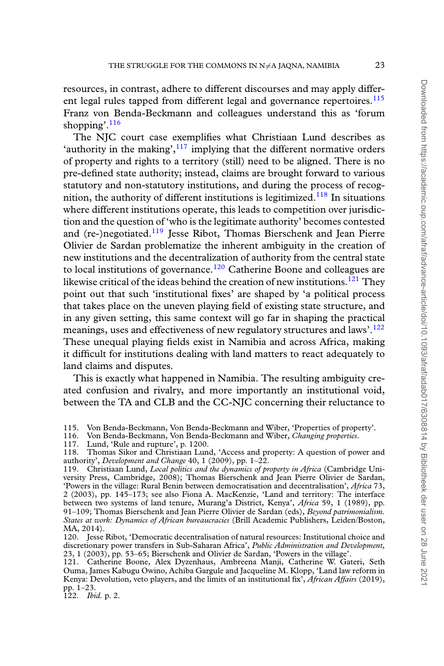resources, in contrast, adhere to different discourses and may apply differ-ent legal rules tapped from different legal and governance repertoires.<sup>[115](#page-22-0)</sup> Franz von Benda-Beckmann and colleagues understand this as 'forum shopping'.<sup>[116](#page-22-1)</sup>

The NJC court case exemplifies what Christiaan Lund describes as 'authority in the making', $117$  implying that the different normative orders of property and rights to a territory (still) need to be aligned. There is no pre-defined state authority; instead, claims are brought forward to various statutory and non-statutory institutions, and during the process of recog-nition, the authority of different institutions is legitimized.<sup>[118](#page-22-3)</sup> In situations where different institutions operate, this leads to competition over jurisdiction and the question of 'who is the legitimate authority' becomes contested and (re-)negotiated.<sup>[119](#page-22-4)</sup> Jesse Ribot, Thomas Bierschenk and Jean Pierre Olivier de Sardan problematize the inherent ambiguity in the creation of new institutions and the decentralization of authority from the central state to local institutions of governance.<sup>[120](#page-22-5)</sup> Catherine Boone and colleagues are likewise critical of the ideas behind the creation of new institutions.<sup>[121](#page-22-6)</sup> They point out that such 'institutional fixes' are shaped by 'a political process that takes place on the uneven playing field of existing state structure, and in any given setting, this same context will go far in shaping the practical meanings, uses and effectiveness of new regulatory structures and laws'.<sup>[122](#page-22-7)</sup> These unequal playing fields exist in Namibia and across Africa, making it difficult for institutions dealing with land matters to react adequately to land claims and disputes.

This is exactly what happened in Namibia. The resulting ambiguity created confusion and rivalry, and more importantly an institutional void, between the TA and CLB and the CC-NJC concerning their reluctance to

<span id="page-22-7"></span>122. *Ibid.* p. 2.

<span id="page-22-0"></span><sup>115.</sup> Von Benda-Beckmann, Von Benda-Beckmann and Wiber, 'Properties of property'.<br>116. Von Benda-Beckmann, Von Benda-Beckmann and Wiber, *Changing properties*.

<span id="page-22-1"></span><sup>116.</sup> Von Benda-Beckmann, Von Benda-Beckmann and Wiber, *Changing properties*.

<span id="page-22-3"></span><span id="page-22-2"></span><sup>117.</sup> Lund, 'Rule and rupture', p. 1200.

<sup>118.</sup> Thomas Sikor and Christiaan Lund, 'Access and property: A question of power and authority', *Development and Change* 40, 1 (2009), pp. 1–22.

<span id="page-22-4"></span><sup>119.</sup> Christiaan Lund, *Local politics and the dynamics of property in Africa* (Cambridge University Press, Cambridge, 2008); Thomas Bierschenk and Jean Pierre Olivier de Sardan, 'Powers in the village: Rural Benin between democratisation and decentralisation', *Africa* 73, 2 (2003), pp. 145–173; see also Fiona A. MacKenzie, 'Land and territory: The interface between two systems of land tenure, Murang'a District, Kenya', *Africa* 59, 1 (1989), pp. 91–109; Thomas Bierschenk and Jean Pierre Olivier de Sardan (eds), *Beyond patrimonialism. States at work: Dynamics of African bureaucracies* (Brill Academic Publishers, Leiden/Boston, MA, 2014).

<span id="page-22-5"></span><sup>120.</sup> Jesse Ribot, 'Democratic decentralisation of natural resources: Institutional choice and discretionary power transfers in Sub-Saharan Africa', *Public Administration and Development,* 23, 1 (2003), pp. 53–65; Bierschenk and Olivier de Sardan, 'Powers in the village'.

<span id="page-22-6"></span><sup>121.</sup> Catherine Boone, Alex Dyzenhaus, Ambreena Manji, Catherine W. Gateri, Seth Ouma, James Kabugu Owino, Achiba Gargule and Jacqueline M. Klopp, 'Land law reform in Kenya: Devolution, veto players, and the limits of an institutional fix', *African Affairs* (2019), pp. 1–23.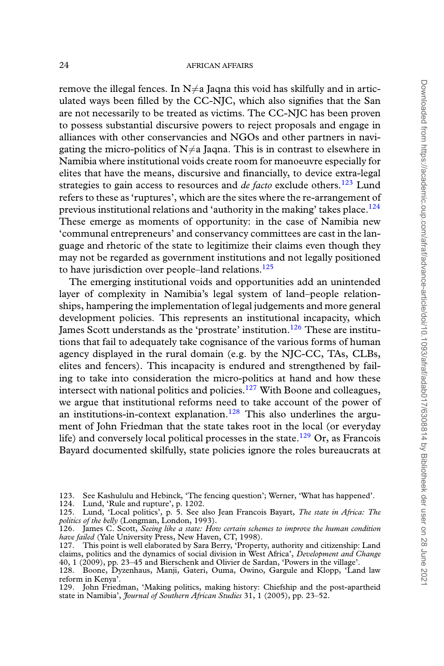remove the illegal fences. In  $N \neq a$  Jaqna this void has skilfully and in articulated ways been filled by the CC-NJC, which also signifies that the San are not necessarily to be treated as victims. The CC-NJC has been proven to possess substantial discursive powers to reject proposals and engage in alliances with other conservancies and NGOs and other partners in navigating the micro-politics of  $N \neq a$  Jaqna. This is in contrast to elsewhere in Namibia where institutional voids create room for manoeuvre especially for elites that have the means, discursive and financially, to device extra-legal strategies to gain access to resources and *de facto* exclude others.<sup>[123](#page-23-0)</sup> Lund refers to these as 'ruptures', which are the sites where the re-arrangement of previous institutional relations and 'authority in the making' takes place.<sup>[124](#page-23-1)</sup> These emerge as moments of opportunity: in the case of Namibia new 'communal entrepreneurs' and conservancy committees are cast in the language and rhetoric of the state to legitimize their claims even though they may not be regarded as government institutions and not legally positioned to have jurisdiction over people–land relations.<sup>[125](#page-23-2)</sup>

The emerging institutional voids and opportunities add an unintended layer of complexity in Namibia's legal system of land–people relationships, hampering the implementation of legal judgements and more general development policies. This represents an institutional incapacity, which James Scott understands as the 'prostrate' institution.<sup>[126](#page-23-3)</sup> These are institutions that fail to adequately take cognisance of the various forms of human agency displayed in the rural domain (e.g. by the NJC-CC, TAs, CLBs, elites and fencers). This incapacity is endured and strengthened by failing to take into consideration the micro-politics at hand and how these intersect with national politics and policies. $127$  With Boone and colleagues, we argue that institutional reforms need to take account of the power of an institutions-in-context explanation.<sup>[128](#page-23-5)</sup> This also underlines the argument of John Friedman that the state takes root in the local (or everyday life) and conversely local political processes in the state.<sup>[129](#page-23-6)</sup> Or, as Francois Bayard documented skilfully, state policies ignore the roles bureaucrats at

<span id="page-23-0"></span>123. See Kashululu and Hebinck, 'The fencing question'; Werner, 'What has happened'.

<span id="page-23-1"></span>124. Lund, 'Rule and rupture', p. 1202.

<span id="page-23-2"></span>125. Lund, 'Local politics', p. 5. See also Jean Francois Bayart, *The state in Africa: The politics of the belly* (Longman, London, 1993).

<span id="page-23-3"></span>126. James C. Scott, *Seeing like a state: How certain schemes to improve the human condition have failed* (Yale University Press, New Haven, CT, 1998).

<span id="page-23-4"></span><sup>127.</sup> This point is well elaborated by Sara Berry, 'Property, authority and citizenship: Land claims, politics and the dynamics of social division in West Africa', *Development and Change* 40, 1 (2009), pp. 23–45 and Bierschenk and Olivier de Sardan, 'Powers in the village'.

<span id="page-23-5"></span><sup>128.</sup> Boone, Dyzenhaus, Manji, Gateri, Ouma, Owino, Gargule and Klopp, 'Land law reform in Kenya'.

<span id="page-23-6"></span><sup>129.</sup> John Friedman, 'Making politics, making history: Chiefship and the post-apartheid state in Namibia', *Journal of Southern African Studies* 31, 1 (2005), pp. 23–52.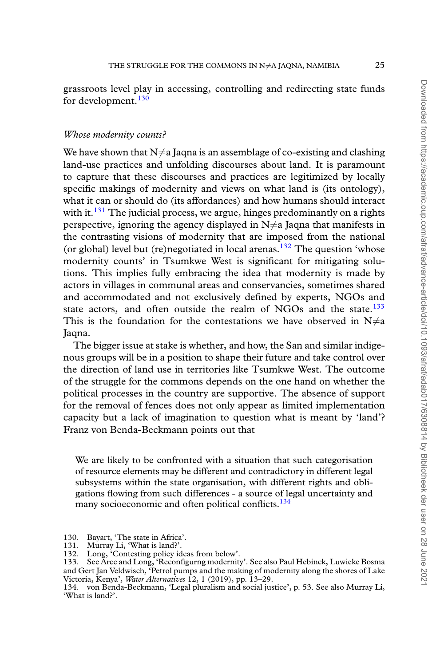grassroots level play in accessing, controlling and redirecting state funds for development.<sup>[130](#page-24-0)</sup>

### *Whose modernity counts?*

We have shown that  $N\neq a$  Jagna is an assemblage of co-existing and clashing land-use practices and unfolding discourses about land. It is paramount to capture that these discourses and practices are legitimized by locally specific makings of modernity and views on what land is (its ontology), what it can or should do (its affordances) and how humans should interact with it.<sup>[131](#page-24-1)</sup> The judicial process, we argue, hinges predominantly on a rights perspective, ignoring the agency displayed in  $N\neq a$  Jaqna that manifests in the contrasting visions of modernity that are imposed from the national (or global) level but (re)negotiated in local arenas.<sup>[132](#page-24-2)</sup> The question 'whose modernity counts' in Tsumkwe West is significant for mitigating solutions. This implies fully embracing the idea that modernity is made by actors in villages in communal areas and conservancies, sometimes shared and accommodated and not exclusively defined by experts, NGOs and state actors, and often outside the realm of NGOs and the state. $133$ This is the foundation for the contestations we have observed in  $N\neq a$ Jaqna.

The bigger issue at stake is whether, and how, the San and similar indigenous groups will be in a position to shape their future and take control over the direction of land use in territories like Tsumkwe West. The outcome of the struggle for the commons depends on the one hand on whether the political processes in the country are supportive. The absence of support for the removal of fences does not only appear as limited implementation capacity but a lack of imagination to question what is meant by 'land'? Franz von Benda-Beckmann points out that

We are likely to be confronted with a situation that such categorisation of resource elements may be different and contradictory in different legal subsystems within the state organisation, with different rights and obligations flowing from such differences - a source of legal uncertainty and many socioeconomic and often political conflicts.<sup>[134](#page-24-4)</sup>

<span id="page-24-0"></span><sup>130.</sup> Bayart, 'The state in Africa'.<br>131. Murray Li, 'What is land?'.

<span id="page-24-2"></span><span id="page-24-1"></span><sup>131.</sup> Murray Li, 'What is land?'.

<span id="page-24-3"></span><sup>132.</sup> Long, 'Contesting policy ideas from below'.

<sup>133.</sup> See Arce and Long, 'Reconfigurng modernity'. See also Paul Hebinck, Luwieke Bosma and Gert Jan Veldwisch, 'Petrol pumps and the making of modernity along the shores of Lake Victoria, Kenya', *Water Alternatives* 12, 1 (2019), pp. 13–29.

<span id="page-24-4"></span><sup>134.</sup> von Benda-Beckmann, 'Legal pluralism and social justice', p. 53. See also Murray Li, 'What is land?'.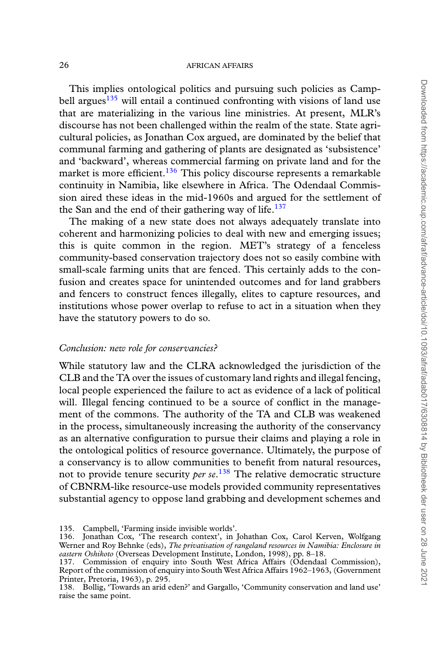This implies ontological politics and pursuing such policies as Camp-bell argues<sup>[135](#page-25-0)</sup> will entail a continued confronting with visions of land use that are materializing in the various line ministries. At present, MLR's discourse has not been challenged within the realm of the state. State agricultural policies, as Jonathan Cox argued, are dominated by the belief that communal farming and gathering of plants are designated as 'subsistence' and 'backward', whereas commercial farming on private land and for the market is more efficient.<sup>[136](#page-25-1)</sup> This policy discourse represents a remarkable continuity in Namibia, like elsewhere in Africa. The Odendaal Commission aired these ideas in the mid-1960s and argued for the settlement of the San and the end of their gathering way of life.<sup>[137](#page-25-2)</sup>

The making of a new state does not always adequately translate into coherent and harmonizing policies to deal with new and emerging issues; this is quite common in the region. MET's strategy of a fenceless community-based conservation trajectory does not so easily combine with small-scale farming units that are fenced. This certainly adds to the confusion and creates space for unintended outcomes and for land grabbers and fencers to construct fences illegally, elites to capture resources, and institutions whose power overlap to refuse to act in a situation when they have the statutory powers to do so.

# *Conclusion: new role for conservancies?*

While statutory law and the CLRA acknowledged the jurisdiction of the CLB and the TA over the issues of customary land rights and illegal fencing, local people experienced the failure to act as evidence of a lack of political will. Illegal fencing continued to be a source of conflict in the management of the commons. The authority of the TA and CLB was weakened in the process, simultaneously increasing the authority of the conservancy as an alternative configuration to pursue their claims and playing a role in the ontological politics of resource governance. Ultimately, the purpose of a conservancy is to allow communities to benefit from natural resources, not to provide tenure security *per se*. [138](#page-25-3) The relative democratic structure of CBNRM-like resource-use models provided community representatives substantial agency to oppose land grabbing and development schemes and

<span id="page-25-1"></span><span id="page-25-0"></span><sup>135.</sup> Campbell, 'Farming inside invisible worlds'.

<sup>136.</sup> Jonathan Cox, 'The research context', in Johathan Cox, Carol Kerven, Wolfgang Werner and Roy Behnke (eds), *The privatisation of rangeland resources in Namibia: Enclosure in eastern Oshikoto* (Overseas Development Institute, London, 1998), pp. 8–18.

<span id="page-25-2"></span><sup>137.</sup> Commission of enquiry into South West Africa Affairs (Odendaal Commission), Report of the commission of enquiry into South West Africa Affairs 1962–1963, (Government Printer, Pretoria, 1963), p. 295.

<span id="page-25-3"></span><sup>138.</sup> Bollig, 'Towards an arid eden?' and Gargallo, 'Community conservation and land use' raise the same point.